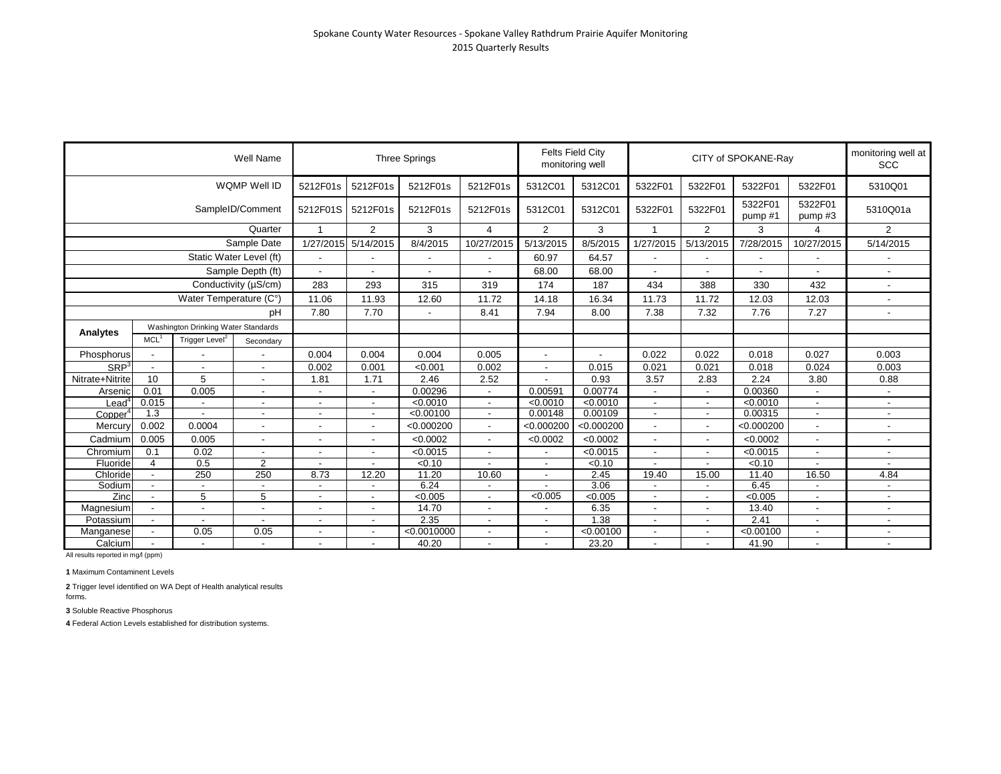|                  |                                                                                       |                          | Well Name                |                          |                          | <b>Three Springs</b> |                |                          | <b>Felts Field City</b><br>monitoring well |                          |                          | CITY of SPOKANE-Ray |                   | monitoring well at<br><b>SCC</b> |
|------------------|---------------------------------------------------------------------------------------|--------------------------|--------------------------|--------------------------|--------------------------|----------------------|----------------|--------------------------|--------------------------------------------|--------------------------|--------------------------|---------------------|-------------------|----------------------------------|
|                  |                                                                                       |                          | WQMP Well ID             | 5212F01s                 | 5212F01s                 | 5212F01s             | 5212F01s       | 5312C01                  | 5312C01                                    | 5322F01                  | 5322F01                  | 5322F01             | 5322F01           | 5310Q01                          |
|                  |                                                                                       |                          | SampleID/Comment         | 5212F01S                 | 5212F01s                 | 5212F01s             | 5212F01s       | 5312C01                  | 5312C01                                    | 5322F01                  | 5322F01                  | 5322F01<br>pump#1   | 5322F01<br>pump#3 | 5310Q01a                         |
|                  |                                                                                       |                          | Quarter                  |                          | 2                        | 3                    | 4              | $\overline{2}$           | 3                                          | -1                       | $\overline{2}$           | 3                   | 4                 | $\overline{2}$                   |
|                  |                                                                                       |                          | Sample Date              | 1/27/2015                | 5/14/2015                | 8/4/2015             | 10/27/2015     | 5/13/2015                | 8/5/2015                                   | 1/27/2015                | 5/13/2015                | 7/28/2015           | 10/27/2015        | 5/14/2015                        |
|                  |                                                                                       |                          | Static Water Level (ft)  |                          |                          |                      |                | 60.97                    | 64.57                                      |                          |                          |                     |                   |                                  |
|                  |                                                                                       |                          | Sample Depth (ft)        |                          |                          |                      |                | 68.00                    | 68.00                                      |                          |                          |                     |                   |                                  |
|                  |                                                                                       |                          | Conductivity (µS/cm)     | 283                      | 293                      | 315                  | 319            | 174                      | 187                                        | 434                      | 388                      | 330                 | 432               | $\blacksquare$                   |
|                  |                                                                                       | Water Temperature (C°)   |                          | 11.06                    | 11.93                    | 12.60                | 11.72          | 14.18                    | 16.34                                      | 11.73                    | 11.72                    | 12.03               | 12.03             |                                  |
|                  |                                                                                       |                          | рH                       | 7.80                     | 7.70                     | $\overline{a}$       | 8.41           | 7.94                     | 8.00                                       | 7.38                     | 7.32                     | 7.76                | 7.27              | $\blacksquare$                   |
|                  | Washington Drinking Water Standards<br>MCL <sup>1</sup><br>Trigger Level <sup>2</sup> |                          |                          |                          |                          |                      |                |                          |                                            |                          |                          |                     |                   |                                  |
| Analytes         |                                                                                       |                          | Secondary                |                          |                          |                      |                |                          |                                            |                          |                          |                     |                   |                                  |
| Phosphorus       |                                                                                       |                          |                          | 0.004                    | 0.004                    | 0.004                | 0.005          |                          |                                            | 0.022                    | 0.022                    | 0.018               | 0.027             | 0.003                            |
| SRP <sup>3</sup> | $\overline{\phantom{a}}$                                                              | $\overline{\phantom{a}}$ | $\overline{\phantom{a}}$ | 0.002                    | 0.001                    | < 0.001              | 0.002          | $\overline{\phantom{a}}$ | 0.015                                      | 0.021                    | 0.021                    | 0.018               | 0.024             | 0.003                            |
| Nitrate+Nitrite  | 10                                                                                    | 5                        | $\blacksquare$           | 1.81                     | 1.71                     | 2.46                 | 2.52           |                          | 0.93                                       | 3.57                     | 2.83                     | 2.24                | 3.80              | 0.88                             |
| Arsenic          | 0.01                                                                                  | 0.005                    | $\blacksquare$           |                          | $\overline{\phantom{a}}$ | 0.00296              | $\blacksquare$ | 0.00591                  | 0.00774                                    |                          | $\overline{\phantom{a}}$ | 0.00360             |                   |                                  |
| Lead             | 0.015                                                                                 |                          |                          | $\blacksquare$           | $\overline{\phantom{a}}$ | < 0.0010             | $\blacksquare$ | < 0.0010                 | < 0.0010                                   | $\overline{\phantom{a}}$ | $\sim$                   | < 0.0010            |                   | $\blacksquare$                   |
| Copper           | 1.3                                                                                   |                          |                          | $\sim$                   | $\overline{\phantom{a}}$ | < 0.00100            | $\blacksquare$ | 0.00148                  | 0.00109                                    | $\overline{\phantom{a}}$ | $\overline{\phantom{a}}$ | 0.00315             |                   | $\blacksquare$                   |
| Mercury          | 0.002                                                                                 | 0.0004                   | $\overline{a}$           |                          | $\overline{a}$           | < 0.000200           | $\blacksquare$ | < 0.000200               | < 0.000200                                 |                          | $\overline{\phantom{a}}$ | < 0.000200          |                   |                                  |
| Cadmium          | 0.005                                                                                 | 0.005                    | $\overline{\phantom{a}}$ | $\overline{\phantom{a}}$ |                          | < 0.0002             | $\blacksquare$ | < 0.0002                 | < 0.0002                                   |                          |                          | < 0.0002            |                   |                                  |
| Chromium         | 0.1                                                                                   | 0.02                     | $\blacksquare$           | $\overline{\phantom{a}}$ | $\overline{\phantom{a}}$ | < 0.0015             | $\blacksquare$ | $\blacksquare$           | < 0.0015                                   |                          | $\sim$                   | < 0.0015            |                   |                                  |
| Fluoride         | $\overline{4}$                                                                        | 0.5                      | $\overline{2}$           |                          |                          | < 0.10               |                | $\overline{\phantom{a}}$ | < 0.10                                     |                          |                          | < 0.10              |                   |                                  |
| Chloride         | $\overline{\phantom{a}}$                                                              | 250                      | 250                      | 8.73                     | 12.20                    | 11.20                | 10.60          | $\blacksquare$           | 2.45                                       | 19.40                    | 15.00                    | 11.40               | 16.50             | 4.84                             |
| Sodium           |                                                                                       |                          |                          |                          |                          | 6.24                 |                |                          | 3.06                                       |                          |                          | 6.45                |                   |                                  |
| Zinc             | $\blacksquare$                                                                        | 5                        | 5                        |                          | $\overline{\phantom{a}}$ | < 0.005              | $\blacksquare$ | < 0.005                  | < 0.005                                    |                          | $\overline{\phantom{a}}$ | < 0.005             |                   |                                  |
| Magnesium        |                                                                                       |                          |                          |                          |                          | 14.70                |                |                          | 6.35                                       |                          |                          | 13.40               |                   | $\overline{\phantom{a}}$         |
| Potassium        |                                                                                       |                          |                          |                          |                          | 2.35                 |                |                          | .38<br>1                                   |                          |                          | 2.41                |                   |                                  |
| Manganese        |                                                                                       | 0.05                     | 0.05                     | $\overline{\phantom{a}}$ |                          | < 0.0010000          |                |                          | < 0.00100                                  |                          |                          | < 0.00100           |                   |                                  |
| Calcium          |                                                                                       |                          |                          |                          |                          | 40.20                |                |                          | 23.20                                      |                          |                          | 41.90               |                   | $\overline{\phantom{a}}$         |

**1** Maximum Contaminent Levels

**2** Trigger level identified on WA Dept of Health analytical results forms.

**3** Soluble Reactive Phosphorus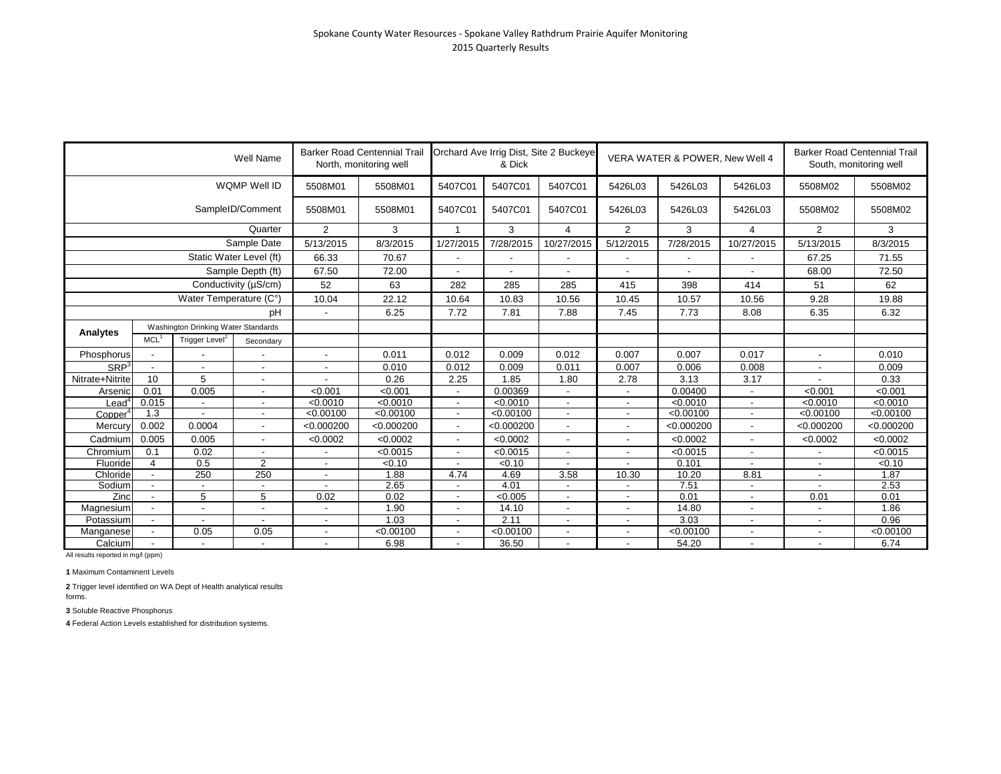|                  |                                                             |                                           | Well Name               |                          | <b>Barker Road Centennial Trail</b><br>North, monitoring well |                          | & Dick     | Orchard Ave Irrig Dist, Site 2 Buckeye |                | VERA WATER & POWER, New Well 4 |                          | South, monitoring well   | <b>Barker Road Centennial Trail</b> |
|------------------|-------------------------------------------------------------|-------------------------------------------|-------------------------|--------------------------|---------------------------------------------------------------|--------------------------|------------|----------------------------------------|----------------|--------------------------------|--------------------------|--------------------------|-------------------------------------|
|                  |                                                             |                                           | WQMP Well ID            | 5508M01                  | 5508M01                                                       | 5407C01                  | 5407C01    | 5407C01                                | 5426L03        | 5426L03                        | 5426L03                  | 5508M02                  | 5508M02                             |
|                  |                                                             |                                           | SampleID/Comment        | 5508M01                  | 5508M01                                                       | 5407C01                  | 5407C01    | 5407C01                                | 5426L03        | 5426L03                        | 5426L03                  | 5508M02                  | 5508M02                             |
|                  |                                                             |                                           | Quarter                 | 2                        | 3                                                             | $\overline{ }$           | 3          | $\overline{4}$                         | $\overline{2}$ | 3                              | 4                        | $\overline{2}$           | 3                                   |
|                  |                                                             |                                           | Sample Date             | 5/13/2015                | 8/3/2015                                                      | 1/27/2015                | 7/28/2015  | 10/27/2015                             | 5/12/2015      | 7/28/2015                      | 10/27/2015               | 5/13/2015                | 8/3/2015                            |
|                  |                                                             |                                           | Static Water Level (ft) | 66.33                    | 70.67                                                         |                          |            |                                        |                |                                |                          | 67.25                    | 71.55                               |
|                  |                                                             |                                           | Sample Depth (ft)       | 67.50                    | 72.00                                                         |                          |            |                                        |                |                                |                          | 68.00                    | 72.50                               |
|                  |                                                             |                                           | Conductivity (µS/cm)    | 52                       | 63                                                            | 282                      | 285        | 285                                    | 415            | 398                            | 414                      | 51                       | 62                                  |
|                  |                                                             | Water Temperature (C°)                    |                         | 10.04                    | 22.12                                                         | 10.64                    | 10.83      | 10.56                                  | 10.45          | 10.57                          | 10.56                    | 9.28                     | 19.88                               |
|                  |                                                             | pH<br>Washington Drinking Water Standards |                         | $\blacksquare$           | 6.25                                                          | 7.72                     | 7.81       | 7.88                                   | 7.45           | 7.73                           | 8.08                     | 6.35                     | 6.32                                |
|                  | Trigger Level <sup>2</sup><br>MCL <sup>1</sup><br>Secondary |                                           |                         |                          |                                                               |                          |            |                                        |                |                                |                          |                          |                                     |
| Analytes         |                                                             |                                           |                         |                          |                                                               |                          |            |                                        |                |                                |                          |                          |                                     |
| Phosphorus       |                                                             |                                           |                         |                          | 0.011                                                         | 0.012                    | 0.009      | 0.012                                  | 0.007          | 0.007                          | 0.017                    |                          | 0.010                               |
| SRP <sup>3</sup> |                                                             |                                           |                         | $\blacksquare$           | 0.010                                                         | 0.012                    | 0.009      | 0.011                                  | 0.007          | 0.006                          | 0.008                    | $\overline{\phantom{a}}$ | 0.009                               |
| Nitrate+Nitrite  | 10                                                          | 5                                         |                         |                          | 0.26                                                          | 2.25                     | 1.85       | 1.80                                   | 2.78           | 3.13                           | 3.17                     |                          | 0.33                                |
| Arsenic          | 0.01                                                        | 0.005                                     |                         | < 0.001                  | < 0.001                                                       |                          | 0.00369    |                                        |                | 0.00400                        | $\overline{\phantom{a}}$ | < 0.001                  | < 0.001                             |
| ∟eaď             | 0.015                                                       |                                           |                         | < 0.0010                 | < 0.0010                                                      | $\overline{a}$           | < 0.0010   |                                        |                | < 0.0010                       |                          | < 0.0010                 | < 0.0010                            |
| Copper           | 1.3                                                         |                                           |                         | < 0.00100                | < 0.00100                                                     | $\overline{a}$           | < 0.00100  | $\overline{\phantom{a}}$               | $\blacksquare$ | < 0.00100                      | $\overline{\phantom{a}}$ | < 0.00100                | < 0.00100                           |
| Mercury          | 0.002                                                       | 0.0004                                    |                         | < 0.000200               | < 0.000200                                                    |                          | < 0.000200 |                                        |                | < 0.000200                     |                          | < 0.000200               | < 0.000200                          |
| Cadmium          | 0.005                                                       | 0.005                                     |                         | < 0.0002                 | < 0.0002                                                      | $\overline{a}$           | < 0.0002   |                                        | $\blacksquare$ | < 0.0002                       | ÷,                       | < 0.0002                 | < 0.0002                            |
| Chromium         | 0.1                                                         | 0.02                                      | $\sim$                  |                          | < 0.0015                                                      | $\overline{\phantom{a}}$ | < 0.0015   | $\overline{a}$                         | $\blacksquare$ | < 0.0015                       | $\overline{a}$           |                          | < 0.0015                            |
| Fluoride         | 4                                                           | 0.5                                       | $\overline{2}$          |                          | < 0.10                                                        |                          | < 0.10     |                                        |                | 0.101                          |                          | $\overline{\phantom{a}}$ | < 0.10                              |
| Chloride         |                                                             | 250                                       | $\overline{250}$        | $\overline{\phantom{a}}$ | 1.88                                                          | 4.74                     | 4.69       | 3.58                                   | 10.30          | 10.20                          | 8.81                     | $\overline{\phantom{a}}$ | 1.87                                |
| Sodium           |                                                             |                                           |                         |                          | 2.65                                                          |                          | 4.01       |                                        |                | 7.51                           | $\overline{\phantom{a}}$ |                          | 2.53                                |
| Zinc             |                                                             | 5                                         | 5                       | 0.02                     | 0.02                                                          |                          | < 0.005    |                                        |                | 0.01                           | $\overline{\phantom{a}}$ | 0.01                     | 0.01                                |
| Magnesium        |                                                             |                                           |                         |                          | 1.90                                                          |                          | 14.10      |                                        |                | 14.80                          |                          |                          | 1.86                                |
| Potassium        |                                                             |                                           |                         |                          | 1.03                                                          |                          | 2.11       |                                        |                | 3.03                           | $\overline{\phantom{a}}$ |                          | 0.96                                |
| Manganese        |                                                             | 0.05                                      | 0.05                    |                          | < 0.00100                                                     |                          | < 0.00100  |                                        |                | < 0.00100                      |                          |                          | < 0.00100                           |
| Calcium          |                                                             |                                           |                         |                          | 6.98                                                          |                          | 36.50      |                                        |                | 54.20                          | $\blacksquare$           | $\blacksquare$           | 6.74                                |

**1** Maximum Contaminent Levels

**2** Trigger level identified on WA Dept of Health analytical results forms.

**3** Soluble Reactive Phosphorus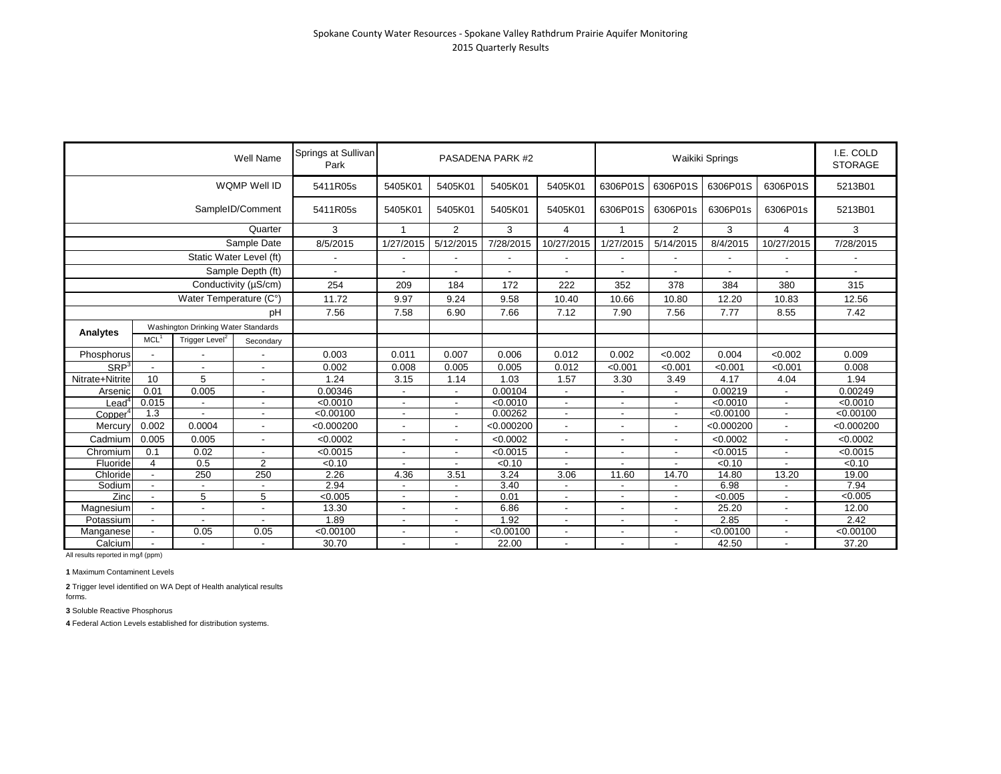|                     |                          |                                                                                                                                                                                                         | Well Name                | Springs at Sullivan<br>Park |                          |                | PASADENA PARK #2 |                |           |                          | Waikiki Springs |                          | I.E. COLD<br><b>STORAGE</b> |
|---------------------|--------------------------|---------------------------------------------------------------------------------------------------------------------------------------------------------------------------------------------------------|--------------------------|-----------------------------|--------------------------|----------------|------------------|----------------|-----------|--------------------------|-----------------|--------------------------|-----------------------------|
|                     |                          |                                                                                                                                                                                                         | WQMP Well ID             | 5411R05s                    | 5405K01                  | 5405K01        | 5405K01          | 5405K01        | 6306P01S  | 6306P01S                 | 6306P01S        | 6306P01S                 | 5213B01                     |
|                     |                          |                                                                                                                                                                                                         | SampleID/Comment         | 5411R05s                    | 5405K01                  | 5405K01        | 5405K01          | 5405K01        | 6306P01S  | 6306P01s                 | 6306P01s        | 6306P01s                 | 5213B01                     |
|                     |                          |                                                                                                                                                                                                         | Quarter                  | 3                           | $\mathbf{1}$             | $\overline{2}$ | 3                | $\overline{4}$ | 1         | $\overline{2}$           | 3               | 4                        | 3                           |
|                     |                          |                                                                                                                                                                                                         | Sample Date              | 8/5/2015                    | 1/27/2015                | 5/12/2015      | 7/28/2015        | 10/27/2015     | 1/27/2015 | 5/14/2015                | 8/4/2015        | 10/27/2015               | 7/28/2015                   |
|                     |                          | Static Water Level (ft)                                                                                                                                                                                 |                          | $\blacksquare$              |                          |                |                  |                |           |                          |                 |                          |                             |
|                     |                          |                                                                                                                                                                                                         | Sample Depth (ft)        | $\overline{a}$              |                          |                |                  |                |           |                          |                 |                          |                             |
|                     |                          |                                                                                                                                                                                                         |                          | 254                         | 209                      | 184            | 172              | 222            | 352       | 378                      | 384             | 380                      | 315                         |
|                     |                          |                                                                                                                                                                                                         |                          | 11.72                       | 9.97                     | 9.24           | 9.58             | 10.40          | 10.66     | 10.80                    | 12.20           | 10.83                    | 12.56                       |
|                     |                          |                                                                                                                                                                                                         | pH                       | 7.56                        | 7.58                     | 6.90           | 7.66             | 7.12           | 7.90      | 7.56                     | 7.77            | 8.55                     | 7.42                        |
|                     |                          | Conductivity (µS/cm)<br>Water Temperature (C°)<br>Washington Drinking Water Standards<br>Trigger Level <sup>2</sup><br>$\overline{\phantom{a}}$<br>$\overline{\phantom{a}}$<br>$\overline{\phantom{a}}$ |                          |                             |                          |                |                  |                |           |                          |                 |                          |                             |
| Analytes            | MCL <sup>1</sup>         |                                                                                                                                                                                                         | Secondary                |                             |                          |                |                  |                |           |                          |                 |                          |                             |
| Phosphorus          |                          |                                                                                                                                                                                                         |                          | 0.003                       | 0.011                    | 0.007          | 0.006            | 0.012          | 0.002     | < 0.002                  | 0.004           | < 0.002                  | 0.009                       |
| SRP <sup>3</sup>    |                          |                                                                                                                                                                                                         |                          | 0.002                       | 0.008                    | 0.005          | 0.005            | 0.012          | < 0.001   | < 0.001                  | < 0.001         | < 0.001                  | 0.008                       |
| Nitrate+Nitrite     | 10                       | 5                                                                                                                                                                                                       | $\overline{\phantom{0}}$ | 1.24                        | 3.15                     | 1.14           | 1.03             | 1.57           | 3.30      | 3.49                     | 4.17            | 4.04                     | 1.94                        |
| Arsenic             | 0.01                     | 0.005                                                                                                                                                                                                   | $\overline{\phantom{a}}$ | 0.00346                     |                          |                | 0.00104          |                |           |                          | 0.00219         |                          | 0.00249                     |
| Leaď                | 0.015                    | $\overline{\phantom{a}}$                                                                                                                                                                                |                          | < 0.0010                    | $\overline{\phantom{a}}$ |                | < 0.0010         |                |           |                          | < 0.0010        |                          | < 0.0010                    |
| Copper <sup>4</sup> | 1.3                      |                                                                                                                                                                                                         |                          | < 0.00100                   | $\overline{\phantom{a}}$ |                | 0.00262          | $\overline{a}$ |           |                          | < 0.00100       |                          | < 0.00100                   |
| Mercury             | 0.002                    | 0.0004                                                                                                                                                                                                  |                          | < 0.000200                  |                          |                | < 0.000200       | $\overline{a}$ |           |                          | < 0.000200      |                          | < 0.000200                  |
| Cadmium             | 0.005                    | 0.005                                                                                                                                                                                                   | $\overline{a}$           | < 0.0002                    |                          |                | < 0.0002         | $\blacksquare$ |           |                          | < 0.0002        |                          | < 0.0002                    |
| Chromium            | 0.1                      | 0.02                                                                                                                                                                                                    | $\blacksquare$           | < 0.0015                    | $\overline{\phantom{a}}$ |                | < 0.0015         | $\overline{a}$ |           | $\overline{\phantom{a}}$ | < 0.0015        | $\overline{\phantom{a}}$ | < 0.0015                    |
| Fluoride            | 4                        | 0.5                                                                                                                                                                                                     | $\overline{2}$           | $\sqrt{0.10}$               |                          |                | $\sqrt{0.10}$    | $\blacksquare$ |           |                          | $\sqrt{0.10}$   |                          | 50.10                       |
| Chloride            | $\overline{\phantom{a}}$ | 250                                                                                                                                                                                                     | 250                      | 2.26                        | 4.36                     | 3.51           | 3.24             | 3.06           | 11.60     | 14.70                    | 14.80           | 13.20                    | 19.00                       |
| Sodium              |                          | $\blacksquare$                                                                                                                                                                                          |                          | 2.94                        |                          |                | 3.40             |                |           |                          | 6.98            |                          | 7.94                        |
| Zinc                |                          | 5                                                                                                                                                                                                       | 5                        | < 0.005                     | $\overline{\phantom{a}}$ |                | 0.01             |                |           |                          | < 0.005         |                          | < 0.005                     |
| Magnesium           |                          | $\overline{\phantom{a}}$                                                                                                                                                                                | ÷                        | 13.30                       |                          |                | 6.86             |                |           |                          | 25.20           |                          | 12.00                       |
| Potassium           |                          |                                                                                                                                                                                                         |                          | 1.89                        |                          |                | 1.92             | $\blacksquare$ |           |                          | 2.85            |                          | 2.42                        |
| Manganese           |                          | 0.05                                                                                                                                                                                                    | 0.05                     | < 0.00100                   |                          |                | < 0.00100        |                |           |                          | < 0.00100       |                          | < 0.00100                   |
| Calcium             |                          | $\sim$                                                                                                                                                                                                  | $\overline{\phantom{a}}$ | 30.70                       |                          |                | 22.00            |                |           |                          | 42.50           |                          | 37.20                       |

**1** Maximum Contaminent Levels

**2** Trigger level identified on WA Dept of Health analytical results forms.

**3** Soluble Reactive Phosphorus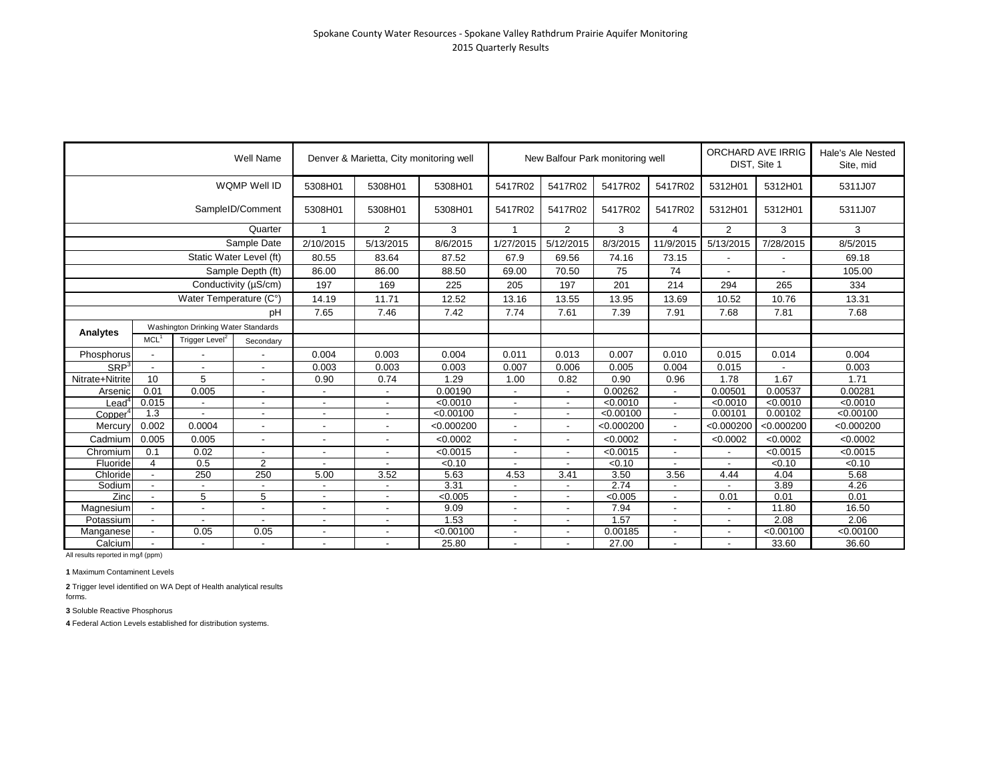|                  |                                                                                                                                                                                                                                                   |                          | Well Name                |                          | Denver & Marietta, City monitoring well |            |                          |                          | New Balfour Park monitoring well |                          | <b>ORCHARD AVE IRRIG</b><br>DIST, Site 1 |            | Hale's Ale Nested<br>Site, mid |
|------------------|---------------------------------------------------------------------------------------------------------------------------------------------------------------------------------------------------------------------------------------------------|--------------------------|--------------------------|--------------------------|-----------------------------------------|------------|--------------------------|--------------------------|----------------------------------|--------------------------|------------------------------------------|------------|--------------------------------|
|                  |                                                                                                                                                                                                                                                   |                          | WQMP Well ID             | 5308H01                  | 5308H01                                 | 5308H01    | 5417R02                  | 5417R02                  | 5417R02                          | 5417R02                  | 5312H01                                  | 5312H01    | 5311J07                        |
|                  |                                                                                                                                                                                                                                                   |                          | SampleID/Comment         | 5308H01                  | 5308H01                                 | 5308H01    | 5417R02                  | 5417R02                  | 5417R02                          | 5417R02                  | 5312H01                                  | 5312H01    | 5311J07                        |
|                  |                                                                                                                                                                                                                                                   |                          | Quarter                  |                          | 2                                       | 3          | $\overline{1}$           | $\overline{2}$           | 3                                | 4                        | $\overline{2}$                           | 3          | 3                              |
|                  |                                                                                                                                                                                                                                                   |                          | Sample Date              | 2/10/2015                | 5/13/2015                               | 8/6/2015   | 1/27/2015                | 5/12/2015                | 8/3/2015                         | 11/9/2015                | 5/13/2015                                | 7/28/2015  | 8/5/2015                       |
|                  |                                                                                                                                                                                                                                                   |                          |                          | 80.55                    | 83.64                                   | 87.52      | 67.9                     | 69.56                    | 74.16                            | 73.15                    |                                          |            | 69.18                          |
|                  |                                                                                                                                                                                                                                                   |                          |                          | 86.00                    | 86.00                                   | 88.50      | 69.00                    | 70.50                    | 75                               | 74                       |                                          |            | 105.00                         |
|                  |                                                                                                                                                                                                                                                   |                          |                          | 197                      | 169                                     | 225        | 205                      | 197                      | 201                              | 214                      | 294                                      | 265        | 334                            |
|                  | Conductivity (µS/cm)<br>Water Temperature (C°)<br>Washington Drinking Water Standards                                                                                                                                                             |                          |                          | 14.19                    | 11.71                                   | 12.52      | 13.16                    | 13.55                    | 13.95                            | 13.69                    | 10.52                                    | 10.76      | 13.31                          |
|                  |                                                                                                                                                                                                                                                   |                          | pH                       | 7.65                     | 7.46                                    | 7.42       | 7.74                     | 7.61                     | 7.39                             | 7.91                     | 7.68                                     | 7.81       | 7.68                           |
|                  | Static Water Level (ft)<br>Sample Depth (ft)<br>MCL <sup>1</sup><br>Trigger Level <sup>2</sup><br>$\overline{\phantom{a}}$<br>$\overline{\phantom{a}}$<br>10<br>5<br>0.01<br>0.005<br>0.015<br>$\overline{\phantom{a}}$<br>1.3<br>0.002<br>0.0004 |                          |                          |                          |                                         |            |                          |                          |                                  |                          |                                          |            |                                |
| Analytes         |                                                                                                                                                                                                                                                   |                          | Secondary                |                          |                                         |            |                          |                          |                                  |                          |                                          |            |                                |
| Phosphorus       |                                                                                                                                                                                                                                                   |                          |                          | 0.004                    | 0.003                                   | 0.004      | 0.011                    | 0.013                    | 0.007                            | 0.010                    | 0.015                                    | 0.014      | 0.004                          |
| SRP <sup>3</sup> |                                                                                                                                                                                                                                                   |                          |                          | 0.003                    | 0.003                                   | 0.003      | 0.007                    | 0.006                    | 0.005                            | 0.004                    | 0.015                                    |            | 0.003                          |
| Nitrate+Nitrite  |                                                                                                                                                                                                                                                   |                          |                          | 0.90                     | 0.74                                    | 1.29       | 1.00                     | 0.82                     | 0.90                             | 0.96                     | 1.78                                     | 1.67       | 1.71                           |
| Arsenic          |                                                                                                                                                                                                                                                   |                          |                          |                          |                                         | 0.00190    |                          |                          | 0.00262                          |                          | 0.00501                                  | 0.00537    | 0.00281                        |
| Lead"            |                                                                                                                                                                                                                                                   |                          | $\overline{\phantom{a}}$ | $\overline{a}$           | $\overline{a}$                          | < 0.0010   |                          | $\blacksquare$           | < 0.0010                         | $\overline{\phantom{a}}$ | < 0.0010                                 | < 0.0010   | < 0.0010                       |
| Copper           |                                                                                                                                                                                                                                                   |                          |                          | $\blacksquare$           | $\overline{\phantom{a}}$                | < 0.00100  | $\overline{\phantom{a}}$ | $\overline{\phantom{a}}$ | < 0.00100                        | $\sim$                   | 0.00101                                  | 0.00102    | < 0.00100                      |
| Mercury          |                                                                                                                                                                                                                                                   |                          |                          |                          |                                         | < 0.000200 |                          | $\blacksquare$           | < 0.000200                       |                          | < 0.000200                               | < 0.000200 | < 0.000200                     |
| Cadmium          | 0.005                                                                                                                                                                                                                                             | 0.005                    |                          |                          |                                         | < 0.0002   |                          | $\blacksquare$           | < 0.0002                         | $\sim$                   | < 0.0002                                 | < 0.0002   | < 0.0002                       |
| Chromium         | 0.1                                                                                                                                                                                                                                               | 0.02                     |                          |                          |                                         | < 0.0015   |                          |                          | < 0.0015                         | $\sim$                   |                                          | < 0.0015   | < 0.0015                       |
| Fluoride         | $\overline{4}$                                                                                                                                                                                                                                    | 0.5                      | $\overline{2}$           |                          |                                         | < 0.10     |                          |                          | 50.10                            |                          |                                          | < 0.10     | < 0.10                         |
| Chloride         | $\overline{\phantom{a}}$                                                                                                                                                                                                                          | 250                      | 250                      | 5.00                     | 3.52                                    | 5.63       | 4.53                     | 3.41                     | 3.50                             | 3.56                     | 4.44                                     | 4.04       | 5.68                           |
| Sodium           |                                                                                                                                                                                                                                                   |                          |                          |                          |                                         | 3.31       |                          |                          | 2.74                             |                          |                                          | 3.89       | 4.26                           |
| Zinc             | $\overline{a}$                                                                                                                                                                                                                                    | 5                        | 5                        | $\overline{a}$           | $\overline{a}$                          | < 0.005    |                          | $\overline{a}$           | < 0.005                          |                          | 0.01                                     | 0.01       | 0.01                           |
| Magnesium        |                                                                                                                                                                                                                                                   | $\overline{\phantom{a}}$ |                          |                          |                                         | 9.09       |                          |                          | 7.94                             |                          |                                          | 11.80      | 16.50                          |
| Potassium        | $\overline{\phantom{a}}$                                                                                                                                                                                                                          | $\overline{\phantom{a}}$ | $\overline{\phantom{a}}$ | $\overline{\phantom{a}}$ | $\overline{\phantom{a}}$                | 1.53       | $\overline{\phantom{a}}$ | $\overline{\phantom{a}}$ | 1.57                             | $\overline{\phantom{a}}$ | $\overline{\phantom{a}}$                 | 2.08       | 2.06                           |
| Manganese        | $\overline{\phantom{a}}$                                                                                                                                                                                                                          | 0.05                     | 0.05                     | $\blacksquare$           | $\blacksquare$                          | < 0.00100  | $\overline{\phantom{a}}$ | $\blacksquare$           | 0.00185                          | $\overline{\phantom{a}}$ | $\overline{\phantom{a}}$                 | < 0.00100  | < 0.00100                      |
| Calcium          | $\blacksquare$                                                                                                                                                                                                                                    | $\blacksquare$           | $\blacksquare$           |                          |                                         | 25.80      |                          |                          | 27.00                            |                          |                                          | 33.60      | 36.60                          |

**1** Maximum Contaminent Levels

**2** Trigger level identified on WA Dept of Health analytical results forms.

**3** Soluble Reactive Phosphorus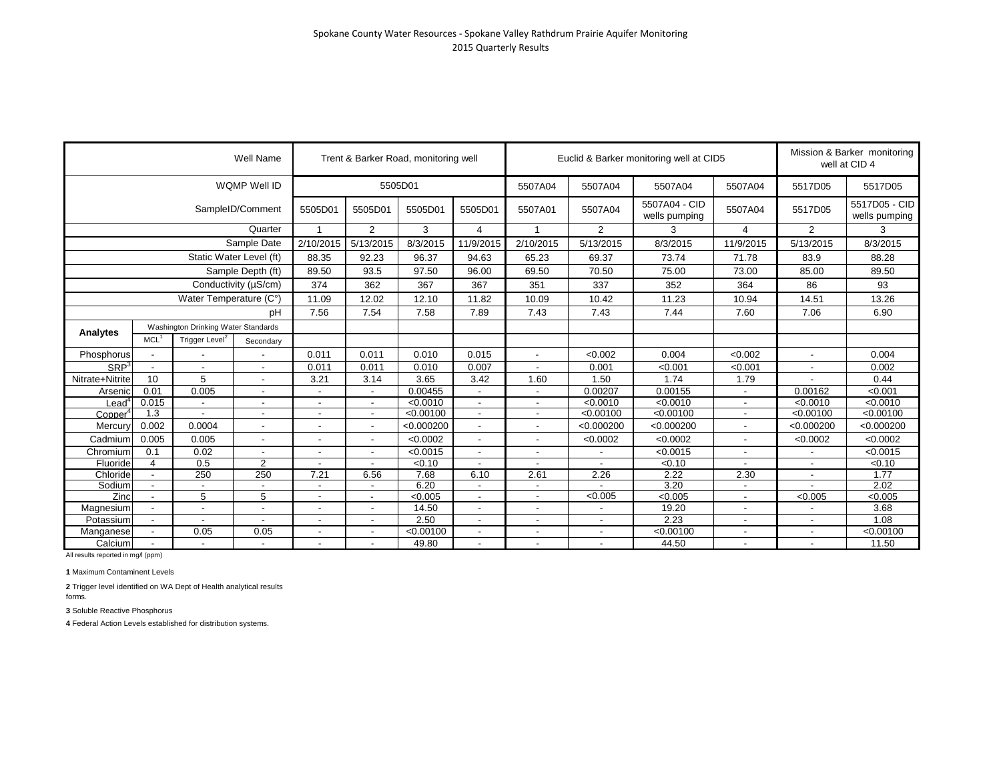|                  |                  |                                                                                                                                                                                                                                                                                                                                                                                         | Well Name                |                          |                          | Trent & Barker Road, monitoring well |                          |                          |            | Euclid & Barker monitoring well at CID5 |                          |                          | Mission & Barker monitoring<br>well at CID 4 |
|------------------|------------------|-----------------------------------------------------------------------------------------------------------------------------------------------------------------------------------------------------------------------------------------------------------------------------------------------------------------------------------------------------------------------------------------|--------------------------|--------------------------|--------------------------|--------------------------------------|--------------------------|--------------------------|------------|-----------------------------------------|--------------------------|--------------------------|----------------------------------------------|
|                  |                  |                                                                                                                                                                                                                                                                                                                                                                                         | WQMP Well ID             |                          |                          | 5505D01                              |                          | 5507A04                  | 5507A04    | 5507A04                                 | 5507A04                  | 5517D05                  | 5517D05                                      |
|                  |                  |                                                                                                                                                                                                                                                                                                                                                                                         |                          | 5505D01                  | 5505D01                  | 5505D01                              | 5505D01                  | 5507A01                  | 5507A04    | 5507A04 - CID<br>wells pumping          | 5507A04                  | 5517D05                  | 5517D05 - CID<br>wells pumping               |
|                  |                  |                                                                                                                                                                                                                                                                                                                                                                                         | Quarter                  | 1                        | $\overline{2}$           | 3                                    | 4                        | -1                       | 2          | 3                                       | 4                        | 2                        | 3                                            |
|                  |                  |                                                                                                                                                                                                                                                                                                                                                                                         | Sample Date              | 2/10/2015                | 5/13/2015                | 8/3/2015                             | 11/9/2015                | 2/10/2015                | 5/13/2015  | 8/3/2015                                | 11/9/2015                | 5/13/2015                | 8/3/2015                                     |
|                  |                  |                                                                                                                                                                                                                                                                                                                                                                                         |                          | 88.35                    | 92.23                    | 96.37                                | 94.63                    | 65.23                    | 69.37      | 73.74                                   | 71.78                    | 83.9                     | 88.28                                        |
|                  |                  |                                                                                                                                                                                                                                                                                                                                                                                         |                          | 89.50                    | 93.5                     | 97.50                                | 96.00                    | 69.50                    | 70.50      | 75.00                                   | 73.00                    | 85.00                    | 89.50                                        |
|                  |                  |                                                                                                                                                                                                                                                                                                                                                                                         |                          | 374                      | 362                      | 367                                  | 367                      | 351                      | 337        | 352                                     | 364                      | 86                       | 93                                           |
|                  |                  |                                                                                                                                                                                                                                                                                                                                                                                         |                          | 11.09                    | 12.02                    | 12.10                                | 11.82                    | 10.09                    | 10.42      | 11.23                                   | 10.94                    | 14.51                    | 13.26                                        |
|                  |                  |                                                                                                                                                                                                                                                                                                                                                                                         | рH                       | 7.56                     | 7.54                     | 7.58                                 | 7.89                     | 7.43                     | 7.43       | 7.44                                    | 7.60                     | 7.06                     | 6.90                                         |
|                  |                  |                                                                                                                                                                                                                                                                                                                                                                                         |                          |                          |                          |                                      |                          |                          |            |                                         |                          |                          |                                              |
| Analytes         | MCL <sup>1</sup> | SampleID/Comment<br>Static Water Level (ft)<br>Sample Depth (ft)<br>Conductivity (µS/cm)<br>Water Temperature (C°)<br>Washington Drinking Water Standards<br>Trigger Level <sup>2</sup><br>Secondary<br>$\blacksquare$<br>$\blacksquare$<br>5<br>10<br>0.005<br>0.0004<br>0.005<br>0.02<br>0.5<br>4<br>250<br>$\blacksquare$<br>5<br>$\overline{\phantom{a}}$<br>0.05<br>$\blacksquare$ |                          |                          |                          |                                      |                          |                          |            |                                         |                          |                          |                                              |
| Phosphorus       |                  |                                                                                                                                                                                                                                                                                                                                                                                         |                          | 0.011                    | 0.011                    | 0.010                                | 0.015                    | $\overline{a}$           | < 0.002    | 0.004                                   | < 0.002                  |                          | 0.004                                        |
| SRP <sup>3</sup> |                  |                                                                                                                                                                                                                                                                                                                                                                                         | $\blacksquare$           | 0.011                    | 0.011                    | 0.010                                | 0.007                    |                          | 0.001      | < 0.001                                 | < 0.001                  |                          | 0.002                                        |
| Nitrate+Nitrite  |                  |                                                                                                                                                                                                                                                                                                                                                                                         | $\blacksquare$           | 3.21                     | 3.14                     | 3.65                                 | 3.42                     | 1.60                     | 1.50       | 1.74                                    | 1.79                     |                          | 0.44                                         |
| Arsenic          | 0.01             |                                                                                                                                                                                                                                                                                                                                                                                         | -                        | $\overline{\phantom{a}}$ |                          | 0.00455                              | $\blacksquare$           |                          | 0.00207    | 0.00155                                 | $\overline{a}$           | 0.00162                  | < 0.001                                      |
| _ead"            | 0.015            |                                                                                                                                                                                                                                                                                                                                                                                         | -                        | $\blacksquare$           |                          | < 0.0010                             | $\overline{\phantom{a}}$ | $\blacksquare$           | < 0.0010   | $\sqrt{0.0010}$                         | $\overline{a}$           | < 0.0010                 | $\sqrt{0.0010}$                              |
| Copper           | 1.3              |                                                                                                                                                                                                                                                                                                                                                                                         | $\overline{\phantom{a}}$ | $\blacksquare$           | $\overline{\phantom{a}}$ | < 0.00100                            | $\overline{\phantom{a}}$ | $\blacksquare$           | < 0.00100  | < 0.00100                               | $\overline{a}$           | < 0.00100                | < 0.00100                                    |
| Mercury          | 0.002            |                                                                                                                                                                                                                                                                                                                                                                                         | $\overline{a}$           | $\overline{\phantom{a}}$ | $\overline{\phantom{a}}$ | < 0.000200                           | $\blacksquare$           |                          | < 0.000200 | < 0.000200                              | $\overline{a}$           | < 0.000200               | < 0.000200                                   |
| Cadmium          | 0.005            |                                                                                                                                                                                                                                                                                                                                                                                         | $\blacksquare$           | $\overline{\phantom{a}}$ |                          | < 0.0002                             | $\blacksquare$           | $\overline{\phantom{a}}$ | < 0.0002   | < 0.0002                                | $\overline{\phantom{a}}$ | < 0.0002                 | < 0.0002                                     |
| Chromium         | 0.1              |                                                                                                                                                                                                                                                                                                                                                                                         | $\overline{\phantom{0}}$ | $\blacksquare$           | $\overline{\phantom{a}}$ | < 0.0015                             | $\sim$                   | $\overline{\phantom{a}}$ |            | < 0.0015                                | $\blacksquare$           |                          | < 0.0015                                     |
| Fluoride         |                  |                                                                                                                                                                                                                                                                                                                                                                                         | $\overline{2}$           |                          |                          | < 0.10                               |                          |                          |            | < 0.10                                  |                          |                          | < 0.10                                       |
| Chloride         |                  |                                                                                                                                                                                                                                                                                                                                                                                         | 250                      | 7.21                     | 6.56                     | 7.68                                 | 6.10                     | 2.61                     | 2.26       | 2.22                                    | 2.30                     | $\overline{\phantom{a}}$ | 1.77                                         |
| Sodium           |                  |                                                                                                                                                                                                                                                                                                                                                                                         | $\blacksquare$           | $\blacksquare$           |                          | 6.20                                 | $\overline{\phantom{a}}$ |                          |            | 3.20                                    | $\overline{\phantom{a}}$ |                          | 2.02                                         |
| Zinc             |                  |                                                                                                                                                                                                                                                                                                                                                                                         | 5                        | $\overline{\phantom{0}}$ |                          | < 0.005                              | ٠                        | $\blacksquare$           | <0.005     | < 0.005                                 | $\overline{\phantom{a}}$ | < 0.005                  | < 0.005                                      |
| Magnesium        |                  |                                                                                                                                                                                                                                                                                                                                                                                         | $\overline{\phantom{0}}$ | $\overline{\phantom{a}}$ |                          | 14.50                                | $\overline{\phantom{a}}$ |                          |            | 19.20                                   | $\overline{\phantom{a}}$ |                          | 3.68                                         |
| Potassium        |                  |                                                                                                                                                                                                                                                                                                                                                                                         |                          | $\overline{\phantom{a}}$ |                          | 2.50                                 | $\blacksquare$           |                          |            | 2.23                                    | $\overline{a}$           |                          | 1.08                                         |
| Manganese        |                  |                                                                                                                                                                                                                                                                                                                                                                                         | 0.05                     |                          |                          | < 0.00100                            |                          |                          |            | < 0.00100                               |                          |                          | < 0.00100                                    |
| Calcium          |                  |                                                                                                                                                                                                                                                                                                                                                                                         | $\blacksquare$           | $\blacksquare$           | $\overline{\phantom{a}}$ | 49.80                                | $\blacksquare$           | $\blacksquare$           | $\sim$     | 44.50                                   | $\overline{\phantom{a}}$ | $\blacksquare$           | 11.50                                        |

**1** Maximum Contaminent Levels

**2** Trigger level identified on WA Dept of Health analytical results forms.

**3** Soluble Reactive Phosphorus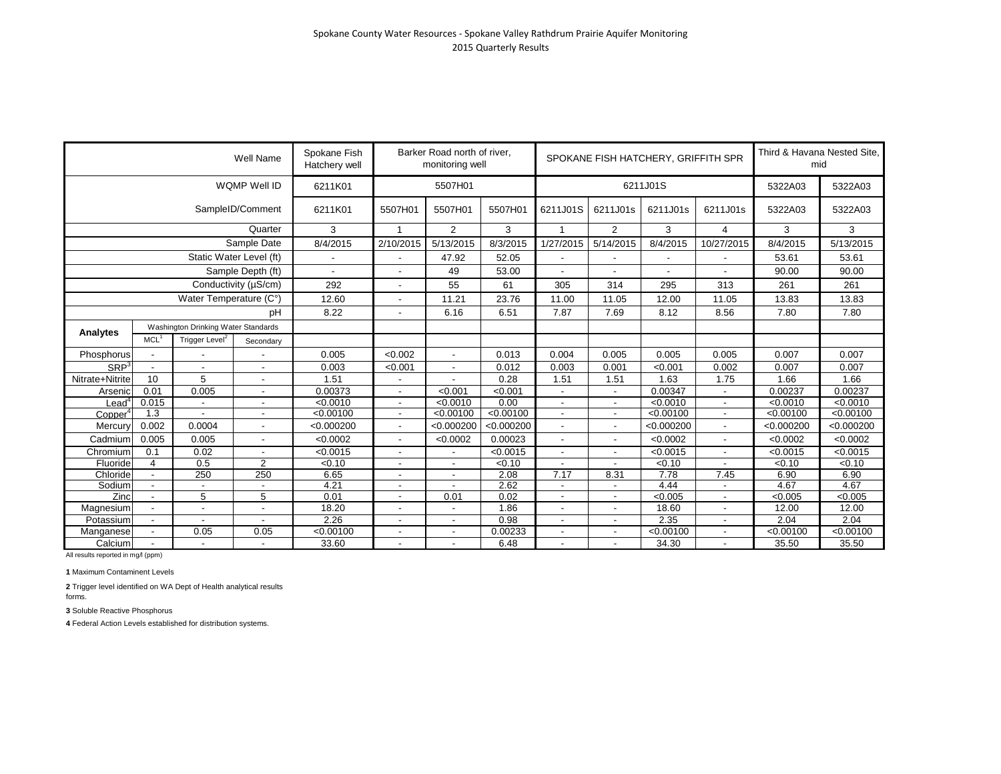|                     |                  |                                                                                                           | Well Name               | Spokane Fish<br>Hatchery well |                          | Barker Road north of river,<br>monitoring well |            |                          |                          | SPOKANE FISH HATCHERY, GRIFFITH SPR |                          | Third & Havana Nested Site,<br>mid |            |
|---------------------|------------------|-----------------------------------------------------------------------------------------------------------|-------------------------|-------------------------------|--------------------------|------------------------------------------------|------------|--------------------------|--------------------------|-------------------------------------|--------------------------|------------------------------------|------------|
|                     |                  |                                                                                                           | WQMP Well ID            | 6211K01                       |                          | 5507H01                                        |            |                          |                          | 6211J01S                            |                          | 5322A03                            | 5322A03    |
|                     |                  |                                                                                                           | SampleID/Comment        | 6211K01                       | 5507H01                  | 5507H01                                        | 5507H01    | 6211J01S                 | 6211J01s                 | 6211J01s                            | 6211J01s                 | 5322A03                            | 5322A03    |
|                     |                  |                                                                                                           | Quarter                 | 3                             | $\overline{1}$           | $\overline{2}$                                 | 3          | $\overline{1}$           | $\overline{2}$           | 3                                   | $\overline{4}$           | 3                                  | 3          |
|                     |                  |                                                                                                           | Sample Date             | 8/4/2015                      | 2/10/2015                | 5/13/2015                                      | 8/3/2015   | 1/27/2015                | 5/14/2015                | 8/4/2015                            | 10/27/2015               | 8/4/2015                           | 5/13/2015  |
|                     |                  |                                                                                                           | Static Water Level (ft) |                               |                          | 47.92                                          | 52.05      |                          |                          |                                     | $\overline{\phantom{a}}$ | 53.61                              | 53.61      |
|                     |                  |                                                                                                           | Sample Depth (ft)       | $\blacksquare$                | $\overline{\phantom{a}}$ | 49                                             | 53.00      |                          |                          |                                     |                          | 90.00                              | 90.00      |
|                     |                  |                                                                                                           |                         | 292                           | $\overline{a}$           | 55                                             | 61         | 305                      | 314                      | 295                                 | 313                      | 261                                | 261        |
|                     |                  |                                                                                                           |                         | 12.60                         |                          | 11.21                                          | 23.76      | 11.00                    | 11.05                    | 12.00                               | 11.05                    | 13.83                              | 13.83      |
|                     |                  |                                                                                                           | pH                      | 8.22                          | $\overline{\phantom{a}}$ | 6.16                                           | 6.51       | 7.87                     | 7.69                     | 8.12                                | 8.56                     | 7.80                               | 7.80       |
|                     |                  | Washington Drinking Water Standards<br>Trigger Level <sup>2</sup>                                         |                         |                               |                          |                                                |            |                          |                          |                                     |                          |                                    |            |
| Analytes            | MCL <sup>1</sup> | Conductivity (µS/cm)<br>Water Temperature (C°)<br>$\blacksquare$<br>$\blacksquare$<br>5<br>$\blacksquare$ |                         |                               |                          |                                                |            |                          |                          |                                     |                          |                                    |            |
| Phosphorus          |                  |                                                                                                           |                         | 0.005                         | < 0.002                  |                                                | 0.013      | 0.004                    | 0.005                    | 0.005                               | 0.005                    | 0.007                              | 0.007      |
| SRP <sup>3</sup>    |                  |                                                                                                           |                         | 0.003                         | < 0.001                  | $\overline{\phantom{a}}$                       | 0.012      | 0.003                    | 0.001                    | < 0.001                             | 0.002                    | 0.007                              | 0.007      |
| Nitrate+Nitrite     | 10               | Secondary                                                                                                 |                         | 1.51                          |                          |                                                | 0.28       | 1.51                     | 1.51                     | 1.63                                | 1.75                     | 1.66                               | 1.66       |
| Arsenic             | 0.01             | 0.005                                                                                                     | $\blacksquare$          | 0.00373                       | $\blacksquare$           | < 0.001                                        | < 0.001    | $\overline{\phantom{a}}$ | $\overline{\phantom{a}}$ | 0.00347                             | $\overline{\phantom{a}}$ | 0.00237                            | 0.00237    |
| $\_$ ead $^4$       | 0.015            | $\overline{\phantom{a}}$                                                                                  | $\blacksquare$          | < 0.0010                      | $\overline{\phantom{a}}$ | < 0.0010                                       | 0.00       | $\overline{\phantom{a}}$ | $\overline{\phantom{a}}$ | < 0.0010                            | $\sim$                   | < 0.0010                           | < 0.0010   |
| Copper <sup>4</sup> | 1.3              |                                                                                                           | $\blacksquare$          | < 0.00100                     | $\overline{\phantom{a}}$ | < 0.00100                                      | < 0.00100  | $\overline{\phantom{a}}$ | $\overline{\phantom{a}}$ | < 0.00100                           | $\overline{\phantom{a}}$ | < 0.00100                          | < 0.00100  |
| Mercury             | 0.002            | 0.0004                                                                                                    |                         | < 0.000200                    |                          | < 0.000200                                     | < 0.000200 |                          |                          | < 0.000200                          | $\overline{\phantom{0}}$ | < 0.000200                         | < 0.000200 |
| Cadmium             | 0.005            | 0.005                                                                                                     | $\blacksquare$          | < 0.0002                      | $\blacksquare$           | < 0.0002                                       | 0.00023    |                          | $\overline{\phantom{a}}$ | < 0.0002                            | $\blacksquare$           | < 0.0002                           | < 0.0002   |
| Chromium            | 0.1              | 0.02                                                                                                      |                         | < 0.0015                      | $\overline{\phantom{a}}$ |                                                | < 0.0015   |                          | $\blacksquare$           | < 0.0015                            | $\overline{\phantom{a}}$ | < 0.0015                           | < 0.0015   |
| Fluoride            | $\overline{4}$   | 0.5                                                                                                       | 2                       | < 0.10                        | $\overline{\phantom{a}}$ |                                                | < 0.10     |                          |                          | < 0.10                              |                          | < 0.10                             | < 0.10     |
| Chloride            |                  | 250                                                                                                       | 250                     | 6.65                          | $\overline{\phantom{a}}$ | $\overline{\phantom{a}}$                       | 2.08       | 7.17                     | 8.31                     | 7.78                                | 7.45                     | 6.90                               | 6.90       |
| Sodium              |                  | $\overline{\phantom{a}}$                                                                                  |                         | 4.21                          | $\overline{\phantom{a}}$ | $\overline{a}$                                 | 2.62       |                          |                          | 4.44                                | $\overline{a}$           | 4.67                               | 4.67       |
| Zinc                |                  | 5                                                                                                         | 5                       | 0.01                          | $\overline{\phantom{a}}$ | 0.01                                           | 0.02       | $\overline{\phantom{a}}$ | $\overline{a}$           | < 0.005                             | ٠                        | < 0.005                            | < 0.005    |
| Magnesium           |                  |                                                                                                           |                         | 18.20                         |                          |                                                | 1.86       |                          |                          | 18.60                               |                          | 12.00                              | 12.00      |
| Potassium           |                  |                                                                                                           |                         | 2.26                          | $\overline{\phantom{a}}$ |                                                | 0.98       |                          | $\overline{\phantom{a}}$ | 2.35                                | $\overline{\phantom{a}}$ | 2.04                               | 2.04       |
| Manganese           |                  | 0.05                                                                                                      | 0.05                    | < 0.00100                     | $\overline{\phantom{a}}$ | $\overline{\phantom{a}}$                       | 0.00233    | $\blacksquare$           | $\blacksquare$           | < 0.00100                           | $\overline{\phantom{a}}$ | < 0.00100                          | < 0.00100  |
| Calcium             |                  | $\overline{\phantom{a}}$                                                                                  |                         | 33.60                         | $\overline{\phantom{a}}$ |                                                | 6.48       |                          | $\blacksquare$           | 34.30                               | $\blacksquare$           | 35.50                              | 35.50      |

**1** Maximum Contaminent Levels

**2** Trigger level identified on WA Dept of Health analytical results forms.

**3** Soluble Reactive Phosphorus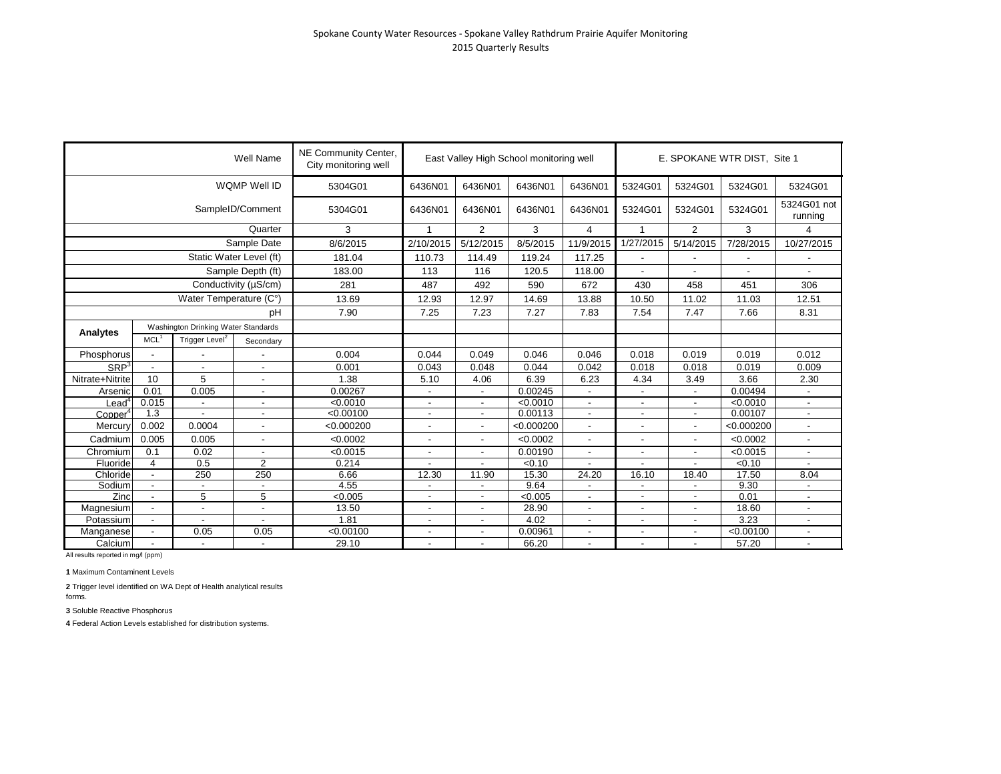|                     |                          |                                                                                                          | <b>Well Name</b>         | NE Community Center,<br>City monitoring well |                          |                          | East Valley High School monitoring well |                          |                          |                | E. SPOKANE WTR DIST, Site 1 |                        |
|---------------------|--------------------------|----------------------------------------------------------------------------------------------------------|--------------------------|----------------------------------------------|--------------------------|--------------------------|-----------------------------------------|--------------------------|--------------------------|----------------|-----------------------------|------------------------|
|                     |                          |                                                                                                          | WQMP Well ID             | 5304G01                                      | 6436N01                  | 6436N01                  | 6436N01                                 | 6436N01                  | 5324G01                  | 5324G01        | 5324G01                     | 5324G01                |
|                     |                          |                                                                                                          | SampleID/Comment         | 5304G01                                      | 6436N01                  | 6436N01                  | 6436N01                                 | 6436N01                  | 5324G01                  | 5324G01        | 5324G01                     | 5324G01 not<br>running |
|                     |                          |                                                                                                          | Quarter                  | 3                                            | 1                        | $\overline{2}$           | 3                                       | 4                        | 1                        | $\overline{2}$ | 3                           | $\overline{4}$         |
|                     |                          |                                                                                                          | Sample Date              | 8/6/2015                                     | 2/10/2015                | 5/12/2015                | 8/5/2015                                | 11/9/2015                | 1/27/2015                | 5/14/2015      | 7/28/2015                   | 10/27/2015             |
|                     |                          |                                                                                                          | Static Water Level (ft)  | 181.04                                       | 110.73                   | 114.49                   | 119.24                                  | 117.25                   |                          |                |                             |                        |
|                     |                          |                                                                                                          | Sample Depth (ft)        | 183.00                                       | 113                      | 116                      | 120.5                                   | 118.00                   |                          |                |                             |                        |
|                     |                          |                                                                                                          | Conductivity (µS/cm)     | 281                                          | 487                      | 492                      | 590                                     | 672                      | 430                      | 458            | 451                         | 306                    |
|                     |                          |                                                                                                          |                          | 13.69                                        | 12.93                    | 12.97                    | 14.69                                   | 13.88                    | 10.50                    | 11.02          | 11.03                       | 12.51                  |
|                     |                          | рH                                                                                                       |                          | 7.90                                         | 7.25                     | 7.23                     | 7.27                                    | 7.83                     | 7.54                     | 7.47           | 7.66                        | 8.31                   |
|                     |                          |                                                                                                          |                          |                                              |                          |                          |                                         |                          |                          |                |                             |                        |
| Analytes            | MCL <sup>1</sup>         | Water Temperature (C°)<br>Trigger Level <sup>2</sup><br>$\overline{\phantom{a}}$                         |                          |                                              |                          |                          |                                         |                          |                          |                |                             |                        |
| Phosphorus          |                          |                                                                                                          |                          | 0.004                                        | 0.044                    | 0.049                    | 0.046                                   | 0.046                    | 0.018                    | 0.019          | 0.019                       | 0.012                  |
| SRP <sup>3</sup>    | $\overline{\phantom{a}}$ | Washington Drinking Water Standards<br>Secondary<br>$\overline{\phantom{a}}$<br>$\overline{\phantom{a}}$ |                          | 0.001                                        | 0.043                    | 0.048                    | 0.044                                   | 0.042                    | 0.018                    | 0.018          | 0.019                       | 0.009                  |
| Nitrate+Nitrite     | 10                       | 5                                                                                                        | $\overline{a}$           | 1.38                                         | 5.10                     | 4.06                     | 6.39                                    | 6.23                     | 4.34                     | 3.49           | 3.66                        | 2.30                   |
| Arsenic             | 0.01                     | 0.005                                                                                                    | $\blacksquare$           | 0.00267                                      |                          | $\overline{\phantom{a}}$ | 0.00245                                 | $\overline{\phantom{a}}$ | $\overline{\phantom{a}}$ |                | 0.00494                     |                        |
| $\mathsf{lead}^4$   | 0.015                    | $\overline{\phantom{a}}$                                                                                 | $\blacksquare$           | < 0.0010                                     |                          |                          | < 0.0010                                | $\blacksquare$           |                          |                | < 0.0010                    |                        |
| Copper <sup>4</sup> | 1.3                      |                                                                                                          | $\blacksquare$           | < 0.00100                                    |                          |                          | 0.00113                                 | $\blacksquare$           |                          |                | 0.00107                     | $\blacksquare$         |
| Mercury             | 0.002                    | 0.0004                                                                                                   |                          | < 0.000200                                   |                          |                          | < 0.000200                              | $\overline{a}$           |                          |                | < 0.000200                  |                        |
| Cadmium             | 0.005                    | 0.005                                                                                                    | $\overline{a}$           | < 0.0002                                     | $\overline{\phantom{a}}$ | $\overline{\phantom{0}}$ | < 0.0002                                | $\overline{\phantom{a}}$ |                          |                | < 0.0002                    |                        |
| Chromium            | 0.1                      | 0.02                                                                                                     |                          | < 0.0015                                     |                          |                          | 0.00190                                 | $\overline{a}$           |                          |                | < 0.0015                    |                        |
| Fluoride            | 4                        | 0.5                                                                                                      | $\overline{2}$           | 0.214                                        |                          |                          | $\sqrt{6.10}$                           |                          |                          |                | $\sqrt{6.10}$               |                        |
| Chloride            | $\overline{a}$           | 250                                                                                                      | 250                      | 6.66                                         | 12.30                    | 11.90                    | 15.30                                   | 24.20                    | 16.10                    | 18.40          | 17.50                       | 8.04                   |
| Sodium              | $\blacksquare$           | $\overline{\phantom{a}}$                                                                                 | $\overline{\phantom{0}}$ | 4.55                                         |                          |                          | 9.64                                    | $\blacksquare$           |                          |                | 9.30                        |                        |
| Zinc                | $\blacksquare$           | 5                                                                                                        | 5                        | < 0.005                                      |                          |                          | < 0.005                                 | $\blacksquare$           |                          |                | 0.01                        |                        |
| Magnesium           |                          |                                                                                                          |                          | 13.50                                        |                          |                          | 28.90                                   |                          |                          |                | 18.60                       |                        |
| Potassium           | $\overline{\phantom{a}}$ |                                                                                                          | $\overline{\phantom{a}}$ | 1.81                                         |                          |                          | 4.02                                    |                          |                          |                | 3.23                        |                        |
| Manganese           | $\overline{\phantom{a}}$ | 0.05                                                                                                     | 0.05                     | < 0.00100                                    | $\overline{\phantom{a}}$ | $\overline{\phantom{a}}$ | 0.00961                                 | $\overline{\phantom{a}}$ | $\overline{\phantom{a}}$ | $\blacksquare$ | < 0.00100                   | $\blacksquare$         |
| Calcium             |                          | ÷,                                                                                                       |                          | 29.10                                        |                          | $\blacksquare$           | 66.20                                   | $\overline{\phantom{a}}$ |                          |                | 57.20                       | $\overline{a}$         |

**1** Maximum Contaminent Levels

**2** Trigger level identified on WA Dept of Health analytical results forms.

**3** Soluble Reactive Phosphorus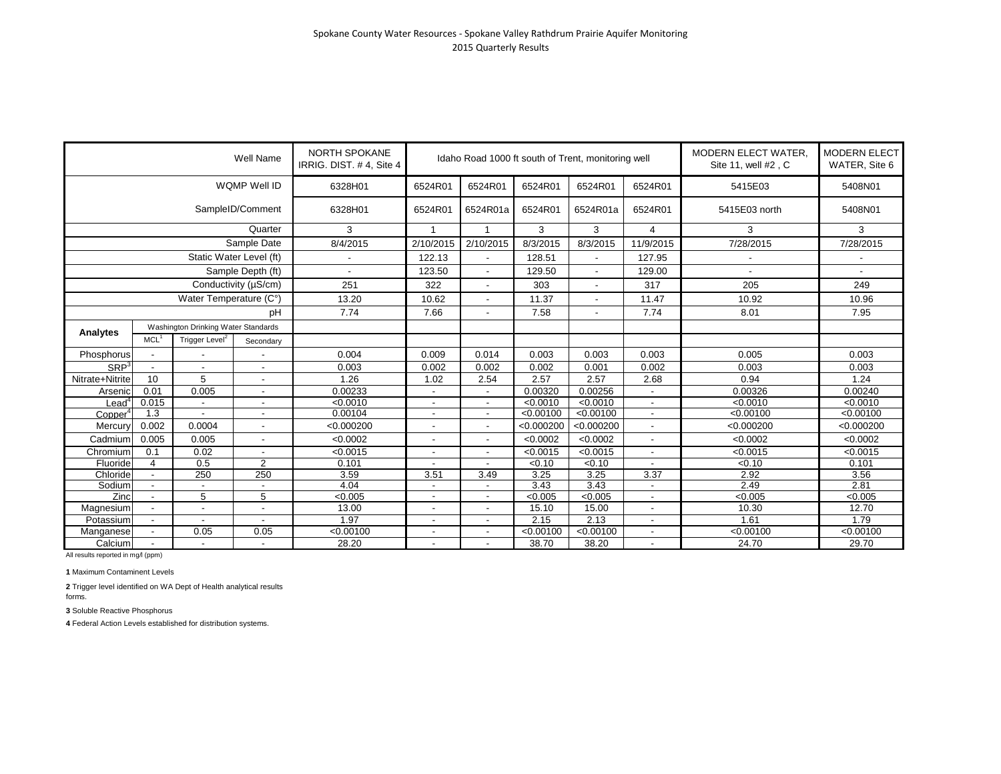|                                 |                          |                                     | Well Name                  | <b>NORTH SPOKANE</b><br>IRRIG. DIST. #4, Site 4 |                          |                          |            | Idaho Road 1000 ft south of Trent, monitoring well |                          | MODERN ELECT WATER,<br>Site 11, well #2, C | <b>MODERN ELECT</b><br>WATER, Site 6 |
|---------------------------------|--------------------------|-------------------------------------|----------------------------|-------------------------------------------------|--------------------------|--------------------------|------------|----------------------------------------------------|--------------------------|--------------------------------------------|--------------------------------------|
|                                 |                          |                                     | <b>WQMP Well ID</b>        | 6328H01                                         | 6524R01                  | 6524R01                  | 6524R01    | 6524R01                                            | 6524R01                  | 5415E03                                    | 5408N01                              |
|                                 |                          |                                     | SampleID/Comment           | 6328H01                                         | 6524R01                  | 6524R01a                 | 6524R01    | 6524R01a                                           | 6524R01                  | 5415E03 north                              | 5408N01                              |
|                                 |                          |                                     | Quarter                    | 3                                               |                          | -1                       | 3          | 3                                                  | 4                        | 3                                          | 3                                    |
|                                 |                          |                                     | Sample Date                | 8/4/2015                                        | 2/10/2015                | 2/10/2015                | 8/3/2015   | 8/3/2015                                           | 11/9/2015                | 7/28/2015                                  | 7/28/2015                            |
|                                 |                          | Static Water Level (ft)             |                            |                                                 | 122.13                   |                          | 128.51     |                                                    | 127.95                   |                                            |                                      |
|                                 |                          |                                     | Sample Depth (ft)          |                                                 | 123.50                   |                          | 129.50     | $\overline{\phantom{a}}$                           | 129.00                   |                                            |                                      |
|                                 |                          |                                     | Conductivity ( $\mu$ S/cm) | 251                                             | 322                      | $\overline{\phantom{a}}$ | 303        | $\overline{\phantom{a}}$                           | 317                      | 205                                        | 249                                  |
|                                 |                          | Water Temperature (C°)              |                            | 13.20                                           | 10.62                    |                          | 11.37      |                                                    | 11.47                    | 10.92                                      | 10.96                                |
|                                 |                          |                                     | pH                         | 7.74                                            | 7.66                     |                          | 7.58       | $\overline{\phantom{a}}$                           | 7.74                     | 8.01                                       | 7.95                                 |
|                                 |                          | Washington Drinking Water Standards |                            |                                                 |                          |                          |            |                                                    |                          |                                            |                                      |
| Analytes                        | MCL <sup>1</sup>         | Trigger Level <sup>2</sup>          | Secondary                  |                                                 |                          |                          |            |                                                    |                          |                                            |                                      |
| Phosphorus                      |                          |                                     |                            | 0.004                                           | 0.009                    | 0.014                    | 0.003      | 0.003                                              | 0.003                    | 0.005                                      | 0.003                                |
| SRP <sup>3</sup>                | $\blacksquare$           | $\overline{\phantom{a}}$            | $\blacksquare$             | 0.003                                           | 0.002                    | 0.002                    | 0.002      | 0.001                                              | 0.002                    | 0.003                                      | 0.003                                |
| Nitrate+Nitrite                 | 10                       | 5                                   | $\overline{\phantom{a}}$   | 1.26                                            | 1.02                     | 2.54                     | 2.57       | 2.57                                               | 2.68                     | 0.94                                       | 1.24                                 |
| Arsenic                         | 0.01                     | 0.005                               |                            | 0.00233                                         |                          |                          | 0.00320    | 0.00256                                            |                          | 0.00326                                    | 0.00240                              |
| ead $4$                         | 0.015                    |                                     |                            | < 0.0010                                        |                          |                          | < 0.0010   | < 0.0010                                           | $\overline{\phantom{a}}$ | < 0.0010                                   | < 0.0010                             |
| Co <sub>oper</sub> <sup>4</sup> | 1.3                      |                                     |                            | 0.00104                                         |                          | $\overline{\phantom{a}}$ | < 0.00100  | < 0.00100                                          | $\blacksquare$           | < 0.00100                                  | < 0.00100                            |
| Mercury                         | 0.002                    | 0.0004                              | $\overline{\phantom{a}}$   | < 0.000200                                      |                          |                          | < 0.000200 | < 0.000200                                         | $\blacksquare$           | < 0.000200                                 | < 0.000200                           |
| Cadmium                         | 0.005                    | 0.005                               |                            | < 0.0002                                        |                          |                          | < 0.0002   | < 0.0002                                           | $\blacksquare$           | < 0.0002                                   | < 0.0002                             |
| Chromium                        | 0.1                      | 0.02                                | $\overline{a}$             | < 0.0015                                        | ٠                        | $\overline{\phantom{a}}$ | < 0.0015   | < 0.0015                                           | $\sim$                   | < 0.0015                                   | < 0.0015                             |
| Fluoride                        | $\overline{4}$           | 0.5                                 | $\overline{2}$             | 0.101                                           |                          |                          | < 0.10     | $\sqrt{0.10}$                                      | $\overline{\phantom{a}}$ | $\sqrt{6.10}$                              | 0.101                                |
| Chloride                        | $\overline{\phantom{a}}$ | 250                                 | 250                        | 3.59                                            | 3.51                     | 3.49                     | 3.25       | 3.25                                               | 3.37                     | 2.92                                       | 3.56                                 |
| Sodium                          |                          |                                     |                            | 4.04                                            |                          |                          | 3.43       | 3.43                                               | $\overline{\phantom{a}}$ | 2.49                                       | 2.81                                 |
| Zinc                            |                          | 5                                   | 5                          | < 0.005                                         |                          |                          | < 0.005    | < 0.005                                            | ٠                        | < 0.005                                    | < 0.005                              |
| Magnesium                       |                          | $\overline{\phantom{a}}$            |                            | 13.00                                           |                          |                          | 15.10      | 15.00                                              |                          | 10.30                                      | 12.70                                |
| Potassium                       |                          |                                     |                            | 1.97                                            |                          |                          | 2.15       | 2.13                                               |                          | 1.61                                       | 1.79                                 |
| Manganese                       |                          | 0.05                                | 0.05                       | < 0.00100                                       |                          |                          | < 0.00100  | < 0.00100                                          |                          | < 0.00100                                  | < 0.00100                            |
| Calcium                         | $\overline{\phantom{a}}$ | $\overline{\phantom{a}}$            | $\blacksquare$             | 28.20                                           | $\overline{\phantom{a}}$ |                          | 38.70      | 38.20                                              | $\overline{\phantom{a}}$ | 24.70                                      | 29.70                                |

**1** Maximum Contaminent Levels

**2** Trigger level identified on WA Dept of Health analytical results forms.

**3** Soluble Reactive Phosphorus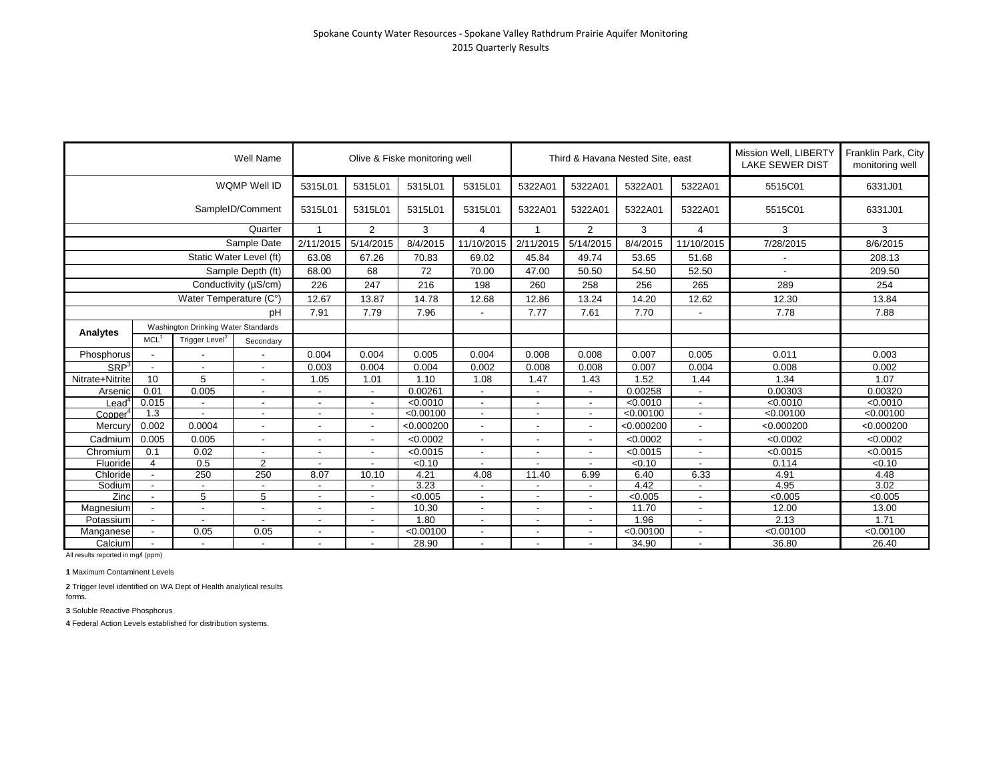|                     |                          |                                     | Well Name                |                          |                          | Olive & Fiske monitoring well |                          |                          |                          | Third & Havana Nested Site, east |                          | Mission Well, LIBERTY<br><b>LAKE SEWER DIST</b> | Franklin Park, City<br>monitoring well |
|---------------------|--------------------------|-------------------------------------|--------------------------|--------------------------|--------------------------|-------------------------------|--------------------------|--------------------------|--------------------------|----------------------------------|--------------------------|-------------------------------------------------|----------------------------------------|
|                     |                          |                                     | WQMP Well ID             | 5315L01                  | 5315L01                  | 5315L01                       | 5315L01                  | 5322A01                  | 5322A01                  | 5322A01                          | 5322A01                  | 5515C01                                         | 6331J01                                |
|                     |                          |                                     | SampleID/Comment         | 5315L01                  | 5315L01                  | 5315L01                       | 5315L01                  | 5322A01                  | 5322A01                  | 5322A01                          | 5322A01                  | 5515C01                                         | 6331J01                                |
|                     |                          |                                     | Quarter                  | $\overline{1}$           | 2                        | 3                             | $\overline{4}$           | $\overline{1}$           | $\overline{2}$           | 3                                | $\overline{4}$           | 3                                               | 3                                      |
|                     |                          |                                     | Sample Date              | 2/11/2015                | 5/14/2015                | 8/4/2015                      | 11/10/2015               | 2/11/2015                | 5/14/2015                | 8/4/2015                         | 11/10/2015               | 7/28/2015                                       | 8/6/2015                               |
|                     |                          |                                     | Static Water Level (ft)  | 63.08                    | 67.26                    | 70.83                         | 69.02                    | 45.84                    | 49.74                    | 53.65                            | 51.68                    |                                                 | 208.13                                 |
|                     |                          |                                     | Sample Depth (ft)        | 68.00                    | 68                       | 72                            | 70.00                    | 47.00                    | 50.50                    | 54.50                            | 52.50                    |                                                 | 209.50                                 |
|                     |                          |                                     | Conductivity (µS/cm)     | 226                      | 247                      | 216                           | 198                      | 260                      | 258                      | 256                              | 265                      | 289                                             | 254                                    |
|                     |                          | Water Temperature (C°)              |                          | 12.67                    | 13.87                    | 14.78                         | 12.68                    | 12.86                    | 13.24                    | 14.20                            | 12.62                    | 12.30                                           | 13.84                                  |
|                     |                          |                                     | pH                       | 7.91                     | 7.79                     | 7.96                          | $\blacksquare$           | 7.77                     | 7.61                     | 7.70                             |                          | 7.78                                            | 7.88                                   |
|                     |                          | Washington Drinking Water Standards |                          |                          |                          |                               |                          |                          |                          |                                  |                          |                                                 |                                        |
| Analytes            | MCL <sup>1</sup>         | Trigger Level <sup>2</sup>          | Secondary                |                          |                          |                               |                          |                          |                          |                                  |                          |                                                 |                                        |
| Phosphorus          |                          |                                     |                          | 0.004                    | 0.004                    | 0.005                         | 0.004                    | 0.008                    | 0.008                    | 0.007                            | 0.005                    | 0.011                                           | 0.003                                  |
| SRP <sup>3</sup>    | $\overline{\phantom{a}}$ |                                     | $\overline{\phantom{a}}$ | 0.003                    | 0.004                    | 0.004                         | 0.002                    | 0.008                    | 0.008                    | 0.007                            | 0.004                    | 0.008                                           | 0.002                                  |
| Nitrate+Nitrite     | 10                       | 5                                   | $\sim$                   | 1.05                     | 1.01                     | 1.10                          | 1.08                     | 1.47                     | 1.43                     | 1.52                             | 1.44                     | 1.34                                            | 1.07                                   |
| Arsenic             | 0.01                     | 0.005                               |                          |                          | $\blacksquare$           | 0.00261                       | $\overline{\phantom{0}}$ |                          | $\overline{\phantom{a}}$ | 0.00258                          |                          | 0.00303                                         | 0.00320                                |
| Leadʻ               | 0.015                    |                                     | $\overline{\phantom{a}}$ |                          | $\blacksquare$           | < 0.0010                      | $\overline{\phantom{a}}$ |                          | $\overline{\phantom{a}}$ | < 0.0010                         | $\sim$                   | < 0.0010                                        | < 0.0010                               |
| Copper <sup>4</sup> | 1.3                      |                                     |                          |                          | $\overline{\phantom{a}}$ | < 0.00100                     | $\overline{\phantom{a}}$ |                          | $\overline{a}$           | < 0.00100                        | $\overline{\phantom{a}}$ | < 0.00100                                       | < 0.00100                              |
| Mercury             | 0.002                    | 0.0004                              |                          |                          |                          | < 0.000200                    | $\blacksquare$           |                          |                          | < 0.000200                       |                          | < 0.000200                                      | < 0.000200                             |
| Cadmium             | 0.005                    | 0.005                               | $\sim$                   | $\overline{\phantom{a}}$ | $\overline{\phantom{a}}$ | < 0.0002                      | $\overline{\phantom{0}}$ |                          |                          | < 0.0002                         |                          | < 0.0002                                        | < 0.0002                               |
| Chromium            | 0.1                      | 0.02                                |                          |                          | $\overline{\phantom{a}}$ | < 0.0015                      |                          |                          |                          | < 0.0015                         |                          | < 0.0015                                        | < 0.0015                               |
| Fluoride            | $\overline{4}$           | 0.5                                 | $\overline{2}$           |                          |                          | < 0.10                        |                          |                          |                          | < 0.10                           |                          | 0.114                                           | < 0.10                                 |
| Chloride            | $\overline{\phantom{a}}$ | 250                                 | $\overline{250}$         | 8.07                     | 10.10                    | 4.21                          | 4.08                     | 11.40                    | 6.99                     | 6.40                             | 6.33                     | 4.91                                            | 4.48                                   |
| Sodium              |                          |                                     |                          |                          |                          | 3.23                          | $\blacksquare$           |                          |                          | 4.42                             |                          | 4.95                                            | 3.02                                   |
| Zinc                |                          | 5                                   | 5                        |                          | $\overline{\phantom{a}}$ | < 0.005                       |                          |                          | $\blacksquare$           | < 0.005                          |                          | < 0.005                                         | < 0.005                                |
| Magnesium           |                          |                                     | $\overline{\phantom{a}}$ |                          |                          | 10.30                         | $\overline{\phantom{a}}$ |                          |                          | 11.70                            |                          | 12.00                                           | 13.00                                  |
| Potassium           |                          |                                     | $\overline{\phantom{a}}$ |                          | $\overline{\phantom{a}}$ | 1.80                          | $\blacksquare$           |                          |                          | 1.96                             |                          | 2.13                                            | 1.71                                   |
| Manganese           |                          | 0.05                                | 0.05                     |                          |                          | < 0.00100                     | $\overline{\phantom{a}}$ |                          |                          | < 0.00100                        |                          | < 0.00100                                       | < 0.00100                              |
| Calcium             |                          |                                     |                          |                          |                          | 28.90                         | $\overline{\phantom{a}}$ | $\overline{\phantom{a}}$ |                          | 34.90                            |                          | 36.80                                           | 26.40                                  |

**1** Maximum Contaminent Levels

**2** Trigger level identified on WA Dept of Health analytical results forms.

**3** Soluble Reactive Phosphorus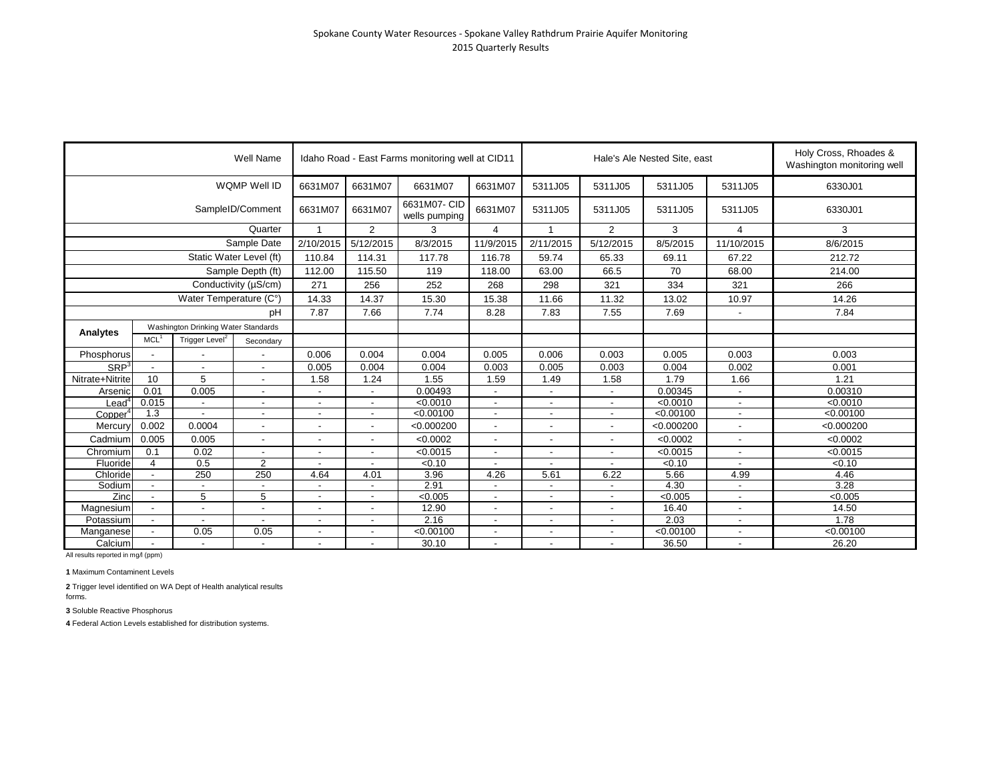|                  |                                                                                                    |                          | Well Name                          |                                                      |                                            | Idaho Road - East Farms monitoring well at CID11 |                                            |                                    |                                                      | Hale's Ale Nested Site, east |                          | Holy Cross, Rhoades &<br>Washington monitoring well |
|------------------|----------------------------------------------------------------------------------------------------|--------------------------|------------------------------------|------------------------------------------------------|--------------------------------------------|--------------------------------------------------|--------------------------------------------|------------------------------------|------------------------------------------------------|------------------------------|--------------------------|-----------------------------------------------------|
|                  |                                                                                                    |                          | WQMP Well ID                       | 6631M07                                              | 6631M07                                    | 6631M07                                          | 6631M07                                    | 5311J05                            | 5311J05                                              | 5311J05                      | 5311J05                  | 6330J01                                             |
|                  |                                                                                                    |                          | SampleID/Comment                   | 6631M07                                              | 6631M07                                    | 6631M07- CID<br>wells pumping                    | 6631M07                                    | 5311J05                            | 5311J05                                              | 5311J05                      | 5311J05                  | 6330J01                                             |
|                  |                                                                                                    |                          | Quarter                            |                                                      | 2                                          | 3                                                | 4                                          | $\overline{ }$                     | $\overline{2}$                                       | 3                            | 4                        | 3                                                   |
|                  |                                                                                                    |                          | Sample Date                        | 2/10/2015                                            | 5/12/2015                                  | 8/3/2015                                         | 11/9/2015                                  | 2/11/2015                          | 5/12/2015                                            | 8/5/2015                     | 11/10/2015               | 8/6/2015                                            |
|                  |                                                                                                    | Static Water Level (ft)  |                                    | 110.84                                               | 114.31                                     | 117.78                                           | 116.78                                     | 59.74                              | 65.33                                                | 69.11                        | 67.22                    | 212.72                                              |
|                  |                                                                                                    |                          | Sample Depth (ft)                  | 112.00                                               | 115.50                                     | 119                                              | 118.00                                     | 63.00                              | 66.5                                                 | 70                           | 68.00                    | 214.00                                              |
|                  |                                                                                                    |                          | Conductivity (µS/cm)               | 271                                                  | 256                                        | 252                                              | 268                                        | 298                                | 321                                                  | 334                          | 321                      | 266                                                 |
|                  |                                                                                                    | Water Temperature (C°)   |                                    | 14.33                                                | 14.37                                      | 15.30                                            | 15.38                                      | 11.66                              | 11.32                                                | 13.02                        | 10.97                    | 14.26                                               |
|                  |                                                                                                    |                          | рH                                 | 7.87                                                 | 7.66                                       | 7.74                                             | 8.28                                       | 7.83                               | 7.55                                                 | 7.69                         |                          | 7.84                                                |
|                  | Washington Drinking Water Standards<br>MCL <sup>1</sup><br>Trigger Level <sup>2</sup><br>Secondary |                          |                                    |                                                      |                                            |                                                  |                                            |                                    |                                                      |                              |                          |                                                     |
| Analytes         |                                                                                                    |                          |                                    |                                                      |                                            |                                                  |                                            |                                    |                                                      |                              |                          |                                                     |
| Phosphorus       | $\overline{\phantom{a}}$                                                                           |                          |                                    | 0.006                                                | 0.004                                      | 0.004                                            | 0.005                                      | 0.006                              | 0.003                                                | 0.005                        | 0.003                    | 0.003                                               |
| SRP <sup>3</sup> | $\overline{\phantom{a}}$                                                                           |                          |                                    | 0.005                                                | 0.004                                      | 0.004                                            | 0.003                                      | 0.005                              | 0.003                                                | 0.004                        | 0.002                    | 0.001                                               |
| Nitrate+Nitrite  | 10                                                                                                 | 5                        |                                    | 1.58                                                 | 1.24                                       | 1.55                                             | 1.59                                       | 1.49                               | 1.58                                                 | 1.79                         | 1.66                     | 1.21                                                |
|                  |                                                                                                    |                          | $\overline{\phantom{a}}$           |                                                      |                                            |                                                  |                                            |                                    |                                                      |                              |                          |                                                     |
| Arsenic          | 0.01                                                                                               | 0.005                    |                                    |                                                      |                                            | 0.00493                                          |                                            |                                    |                                                      | 0.00345                      |                          | 0.00310                                             |
| Leadʻ            | 0.015                                                                                              | $\overline{\phantom{a}}$ | $\sim$<br>$\overline{\phantom{a}}$ | $\overline{\phantom{a}}$<br>$\overline{\phantom{a}}$ | $\overline{\phantom{a}}$<br>$\blacksquare$ | < 0.0010<br>< 0.00100                            | $\blacksquare$<br>$\overline{\phantom{a}}$ | $\sim$<br>$\overline{\phantom{a}}$ | $\overline{\phantom{a}}$<br>$\overline{\phantom{a}}$ | < 0.0010<br>< 0.00100        | $\sim$<br>$\sim$         | < 0.0010<br>< 0.00100                               |
| Copper           | 1.3<br>0.002                                                                                       | 0.0004                   |                                    |                                                      |                                            |                                                  |                                            |                                    |                                                      | < 0.000200                   |                          |                                                     |
| Mercury          |                                                                                                    |                          |                                    |                                                      | $\overline{\phantom{a}}$                   | < 0.000200                                       | $\overline{a}$                             |                                    |                                                      |                              |                          | < 0.000200                                          |
| Cadmium          | 0.005                                                                                              | 0.005                    | $\sim$                             | $\blacksquare$                                       | -                                          | < 0.0002                                         | ٠                                          |                                    | $\overline{\phantom{a}}$                             | < 0.0002                     | $\overline{\phantom{a}}$ | < 0.0002                                            |
| Chromium         | 0.1                                                                                                | 0.02                     | $\sim$                             | $\overline{\phantom{a}}$                             | $\overline{\phantom{a}}$                   | < 0.0015                                         | $\overline{\phantom{a}}$                   | $\overline{\phantom{a}}$           | $\blacksquare$                                       | < 0.0015                     | $\overline{\phantom{a}}$ | < 0.0015                                            |
| Fluoride         | 4                                                                                                  | 0.5                      | $\overline{2}$                     |                                                      |                                            | < 0.10                                           |                                            |                                    |                                                      | < 0.10                       |                          | < 0.10                                              |
| Chloride         | $\overline{\phantom{a}}$                                                                           | $\overline{250}$         | 250                                | 4.64                                                 | 4.01                                       | 3.96                                             | 4.26                                       | 5.61                               | 6.22                                                 | 5.66                         | 4.99                     | 4.46                                                |
| Sodium           | $\overline{a}$                                                                                     |                          |                                    |                                                      | $\blacksquare$                             | 2.91                                             |                                            |                                    |                                                      | 4.30                         |                          | 3.28                                                |
| Zinc             | $\overline{\phantom{a}}$                                                                           | 5                        | 5                                  | $\overline{\phantom{a}}$                             | $\blacksquare$                             | < 0.005                                          | $\blacksquare$                             | $\sim$                             | $\blacksquare$                                       | < 0.005                      |                          | < 0.005                                             |
| Magnesium        |                                                                                                    |                          | $\overline{a}$                     |                                                      | ٠                                          | 12.90                                            | $\blacksquare$                             | $\overline{\phantom{a}}$           |                                                      | 16.40                        |                          | 14.50                                               |
| Potassium        | $\blacksquare$                                                                                     |                          |                                    | $\overline{\phantom{a}}$                             |                                            | 2.16                                             | $\overline{\phantom{0}}$                   |                                    |                                                      | 2.03                         |                          | 1.78                                                |
| Manganese        |                                                                                                    | 0.05                     | 0.05                               | $\blacksquare$                                       |                                            | < 0.00100                                        | $\overline{\phantom{a}}$                   |                                    |                                                      | < 0.00100                    |                          | < 0.00100                                           |
| Calcium          |                                                                                                    |                          |                                    |                                                      |                                            | 30.10                                            |                                            |                                    |                                                      | 36.50                        |                          | 26.20                                               |

**1** Maximum Contaminent Levels

**2** Trigger level identified on WA Dept of Health analytical results forms.

**3** Soluble Reactive Phosphorus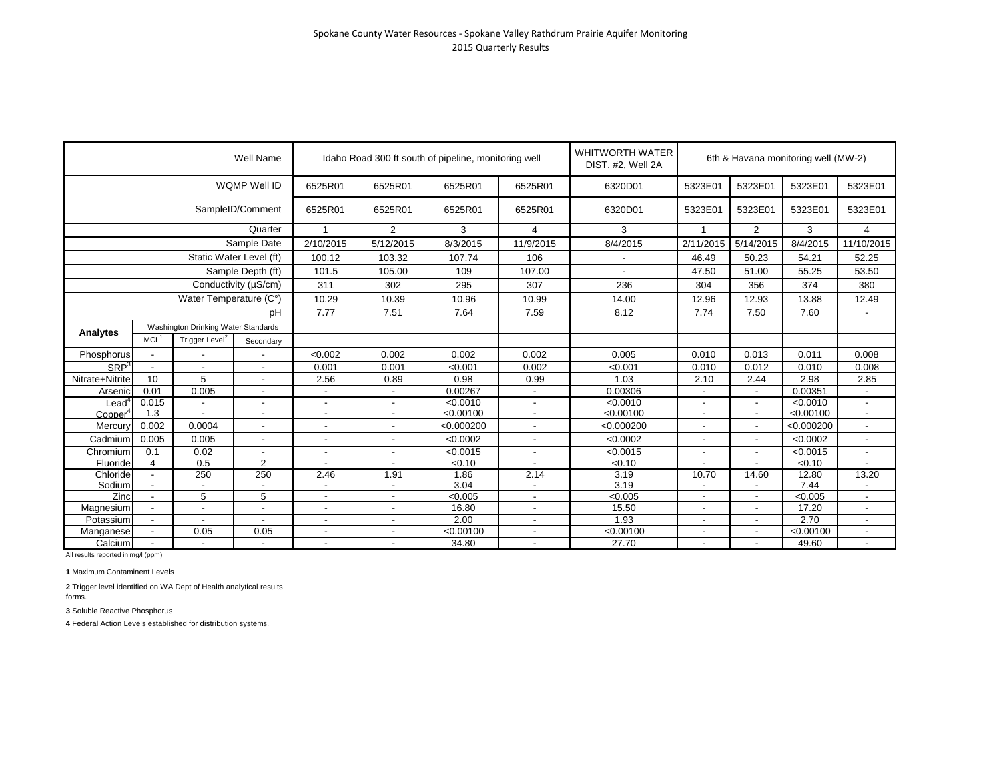|                     |                |                                                                                                                                                                                                          | Well Name                |                          |                          | Idaho Road 300 ft south of pipeline, monitoring well |                          | <b>WHITWORTH WATER</b><br>DIST. #2, Well 2A |                          |                          | 6th & Havana monitoring well (MW-2) |                          |
|---------------------|----------------|----------------------------------------------------------------------------------------------------------------------------------------------------------------------------------------------------------|--------------------------|--------------------------|--------------------------|------------------------------------------------------|--------------------------|---------------------------------------------|--------------------------|--------------------------|-------------------------------------|--------------------------|
|                     |                |                                                                                                                                                                                                          |                          | 6525R01                  | 6525R01                  | 6525R01                                              | 6525R01                  | 6320D01                                     | 5323E01                  | 5323E01                  | 5323E01                             | 5323E01                  |
|                     |                |                                                                                                                                                                                                          |                          | 6525R01                  | 6525R01                  | 6525R01                                              | 6525R01                  | 6320D01                                     | 5323E01                  | 5323E01                  | 5323E01                             | 5323E01                  |
|                     |                | WQMP Well ID<br>SampleID/Comment<br>Quarter<br>Trigger Level <sup>2</sup><br>$\overline{\phantom{a}}$<br>10<br>5<br>0.005<br>$\overline{\phantom{a}}$<br>0.0004<br>0.005<br>0.02<br>0.5<br>4<br>250<br>5 |                          | $\mathbf{1}$             | 2                        | 3                                                    | $\overline{4}$           | 3                                           | $\mathbf{1}$             | $\overline{2}$           | 3                                   | $\overline{4}$           |
|                     |                | MCL <sup>1</sup><br>0.01                                                                                                                                                                                 |                          | 2/10/2015                | 5/12/2015                | 8/3/2015                                             | 11/9/2015                | 8/4/2015                                    | 2/11/2015                | 5/14/2015                | 8/4/2015                            | 11/10/2015               |
|                     |                | Sample Date                                                                                                                                                                                              |                          | 100.12                   | 103.32                   | 107.74                                               | 106                      |                                             | 46.49                    | 50.23                    | 54.21                               | 52.25                    |
|                     |                | Static Water Level (ft)<br>Sample Depth (ft)<br>Conductivity (µS/cm)<br>Water Temperature (C°)<br>Washington Drinking Water Standards                                                                    |                          | 101.5                    | 105.00                   | 109                                                  | 107.00                   |                                             | 47.50                    | 51.00                    | 55.25                               | 53.50                    |
|                     |                |                                                                                                                                                                                                          |                          | 311                      | 302                      | 295                                                  | 307                      | 236                                         | 304                      | 356                      | 374                                 | 380                      |
|                     |                |                                                                                                                                                                                                          |                          | 10.29                    | 10.39                    | 10.96                                                | 10.99                    | 14.00                                       | 12.96                    | 12.93                    | 13.88                               | 12.49                    |
|                     |                |                                                                                                                                                                                                          | pH                       | 7.77                     | 7.51                     | 7.64                                                 | 7.59                     | 8.12                                        | 7.74                     | 7.50                     | 7.60                                | $\overline{\phantom{a}}$ |
|                     |                |                                                                                                                                                                                                          |                          |                          |                          |                                                      |                          |                                             |                          |                          |                                     |                          |
| Analytes            |                |                                                                                                                                                                                                          | Secondary                |                          |                          |                                                      |                          |                                             |                          |                          |                                     |                          |
| Phosphorus          |                |                                                                                                                                                                                                          |                          | < 0.002                  | 0.002                    | 0.002                                                | 0.002                    | 0.005                                       | 0.010                    | 0.013                    | 0.011                               | 0.008                    |
| SRP <sup>3</sup>    |                |                                                                                                                                                                                                          | $\overline{\phantom{a}}$ | 0.001                    | 0.001                    | < 0.001                                              | 0.002                    | < 0.001                                     | 0.010                    | 0.012                    | 0.010                               | 0.008                    |
| Nitrate+Nitrite     |                |                                                                                                                                                                                                          |                          | 2.56                     | 0.89                     | 0.98                                                 | 0.99                     | 1.03                                        | 2.10                     | 2.44                     | 2.98                                | 2.85                     |
| Arsenic             |                |                                                                                                                                                                                                          | $\blacksquare$           |                          | $\sim$                   | 0.00267                                              | $\overline{\phantom{a}}$ | 0.00306                                     |                          | $\overline{\phantom{a}}$ | 0.00351                             | $\sim$                   |
| $\textsf{lead}^4$   | 0.015          |                                                                                                                                                                                                          | $\overline{\phantom{a}}$ | $\overline{\phantom{a}}$ | $\overline{\phantom{a}}$ | < 0.0010                                             | $\overline{\phantom{a}}$ | < 0.0010                                    |                          | $\overline{\phantom{a}}$ | < 0.0010                            | $\sim$                   |
| Copper <sup>4</sup> | 1.3            |                                                                                                                                                                                                          | $\blacksquare$           | $\overline{\phantom{a}}$ | $\overline{\phantom{a}}$ | < 0.00100                                            | $\overline{\phantom{a}}$ | < 0.00100                                   | ٠                        | $\overline{\phantom{a}}$ | < 0.00100                           | $\sim$                   |
| Mercury             | 0.002          |                                                                                                                                                                                                          |                          |                          |                          | < 0.000200                                           |                          | < 0.000200                                  |                          |                          | < 0.000200                          | $\blacksquare$           |
| Cadmium             | 0.005          |                                                                                                                                                                                                          |                          |                          | $\overline{a}$           | < 0.0002                                             | ٠                        | < 0.0002                                    | $\overline{a}$           | $\blacksquare$           | < 0.0002                            | $\blacksquare$           |
| Chromium            | 0.1            |                                                                                                                                                                                                          |                          | $\overline{\phantom{a}}$ | $\overline{a}$           | < 0.0015                                             | ٠                        | < 0.0015                                    |                          | $\blacksquare$           | < 0.0015                            | $\blacksquare$           |
| Fluoride            |                |                                                                                                                                                                                                          | 2                        |                          |                          | < 0.10                                               |                          | < 0.10                                      |                          |                          | < 0.10                              |                          |
| Chloride            |                |                                                                                                                                                                                                          | 250                      | 2.46                     | 1.91                     | 1.86                                                 | 2.14                     | 3.19                                        | 10.70                    | 14.60                    | 12.80                               | 13.20                    |
| Sodium              |                |                                                                                                                                                                                                          |                          | $\overline{\phantom{a}}$ | $\overline{\phantom{a}}$ | 3.04                                                 | $\overline{\phantom{a}}$ | 3.19                                        |                          | $\overline{\phantom{0}}$ | 7.44                                | $\overline{\phantom{a}}$ |
| Zinc                |                |                                                                                                                                                                                                          | 5                        | $\overline{\phantom{a}}$ |                          | < 0.005                                              | ٠                        | < 0.005                                     |                          | $\overline{\phantom{0}}$ | < 0.005                             | $\blacksquare$           |
| Magnesium           |                |                                                                                                                                                                                                          |                          |                          |                          | 16.80                                                |                          | 15.50                                       |                          |                          | 17.20                               |                          |
| Potassium           |                |                                                                                                                                                                                                          |                          |                          | $\overline{a}$           | 2.00                                                 |                          | 1.93                                        |                          | $\blacksquare$           | 2.70                                |                          |
| Manganese           | $\blacksquare$ | 0.05                                                                                                                                                                                                     | 0.05                     | $\blacksquare$           | $\overline{\phantom{a}}$ | < 0.00100                                            | $\overline{\phantom{a}}$ | < 0.00100                                   | $\overline{\phantom{a}}$ | $\overline{\phantom{a}}$ | < 0.00100                           | $\blacksquare$           |
| Calcium             |                |                                                                                                                                                                                                          |                          |                          | $\overline{a}$           | 34.80                                                | $\overline{\phantom{a}}$ | 27.70                                       |                          | $\blacksquare$           | 49.60                               | $\blacksquare$           |

**1** Maximum Contaminent Levels

**2** Trigger level identified on WA Dept of Health analytical results forms.

**3** Soluble Reactive Phosphorus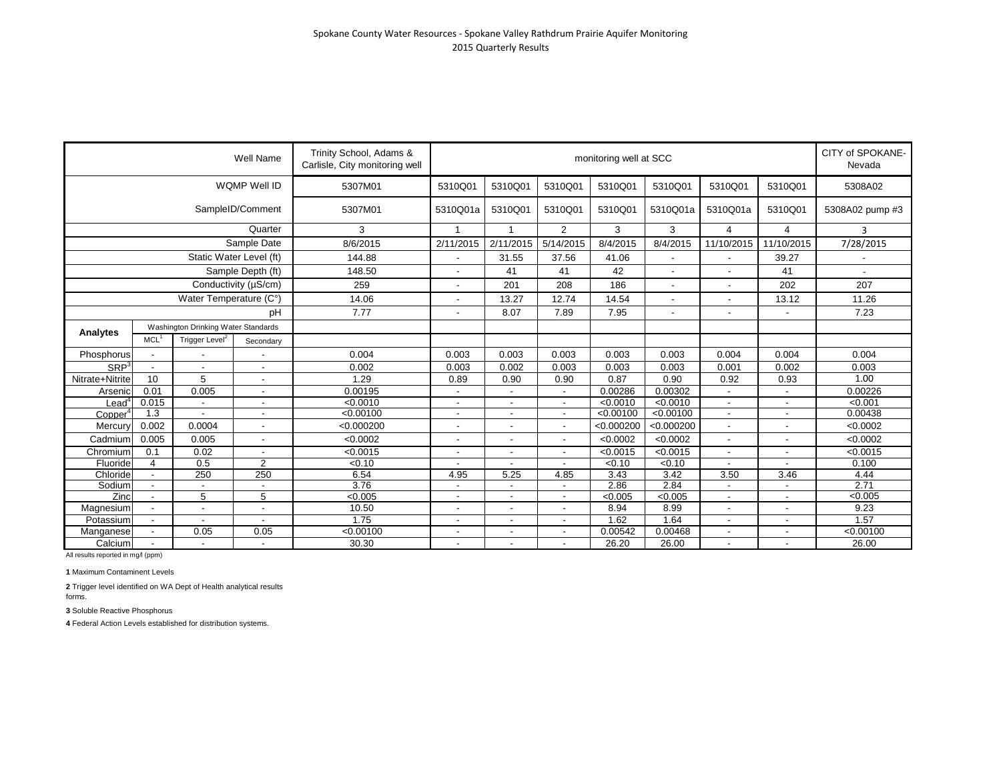|                     |                          |                                                                                                                                                                                                                                                                                                                                                                                                                                                  | <b>Well Name</b> | Trinity School, Adams &<br>Carlisle, City monitoring well |              |                          |                | monitoring well at SCC |            |                          |                          | CITY of SPOKANE-<br>Nevada |
|---------------------|--------------------------|--------------------------------------------------------------------------------------------------------------------------------------------------------------------------------------------------------------------------------------------------------------------------------------------------------------------------------------------------------------------------------------------------------------------------------------------------|------------------|-----------------------------------------------------------|--------------|--------------------------|----------------|------------------------|------------|--------------------------|--------------------------|----------------------------|
|                     |                          |                                                                                                                                                                                                                                                                                                                                                                                                                                                  |                  | 5307M01                                                   | 5310Q01      | 5310Q01                  | 5310Q01        | 5310Q01                | 5310Q01    | 5310Q01                  | 5310Q01                  | 5308A02                    |
|                     |                          | WQMP Well ID<br>SampleID/Comment<br>Static Water Level (ft)<br>Sample Depth (ft)<br>Conductivity (µS/cm)<br>Water Temperature (C°)<br>Washington Drinking Water Standards<br>Trigger Level <sup>2</sup><br>$\overline{\phantom{a}}$<br>5<br>0.005<br>$\overline{\phantom{a}}$<br>$\overline{\phantom{a}}$<br>$\overline{\phantom{a}}$<br>$\overline{\phantom{a}}$<br>0.0004<br>0.005<br>$\sim$<br>0.02<br>0.5<br>$\overline{2}$<br>250<br>5<br>5 |                  | 5307M01                                                   | 5310Q01a     | 5310Q01                  | 5310Q01        | 5310Q01                | 5310Q01a   | 5310Q01a                 | 5310Q01                  | 5308A02 pump #3            |
|                     |                          |                                                                                                                                                                                                                                                                                                                                                                                                                                                  | Quarter          | 3                                                         | $\mathbf{1}$ | $\mathbf{1}$             | $\overline{2}$ | 3                      | 3          | $\overline{4}$           | $\overline{4}$           | 3                          |
|                     |                          |                                                                                                                                                                                                                                                                                                                                                                                                                                                  | Sample Date      | 8/6/2015                                                  | 2/11/2015    | 2/11/2015                | 5/14/2015      | 8/4/2015               | 8/4/2015   | 11/10/2015               | 11/10/2015               | 7/28/2015                  |
|                     |                          |                                                                                                                                                                                                                                                                                                                                                                                                                                                  |                  | 144.88                                                    |              | 31.55                    | 37.56          | 41.06                  |            |                          | 39.27                    |                            |
|                     |                          |                                                                                                                                                                                                                                                                                                                                                                                                                                                  |                  | 148.50                                                    |              | 41                       | 41             | 42                     |            |                          | 41                       | $\overline{\phantom{a}}$   |
|                     |                          |                                                                                                                                                                                                                                                                                                                                                                                                                                                  |                  | 259                                                       |              | 201                      | 208            | 186                    |            |                          | 202                      | 207                        |
|                     |                          |                                                                                                                                                                                                                                                                                                                                                                                                                                                  |                  | 14.06                                                     |              | 13.27                    | 12.74          | 14.54                  |            |                          | 13.12                    | 11.26                      |
|                     |                          |                                                                                                                                                                                                                                                                                                                                                                                                                                                  | pH               | 7.77                                                      |              | 8.07                     | 7.89           | 7.95                   |            |                          |                          | 7.23                       |
|                     |                          |                                                                                                                                                                                                                                                                                                                                                                                                                                                  |                  |                                                           |              |                          |                |                        |            |                          |                          |                            |
| Analytes            | MCL <sup>1</sup>         |                                                                                                                                                                                                                                                                                                                                                                                                                                                  | Secondary        |                                                           |              |                          |                |                        |            |                          |                          |                            |
| Phosphorus          |                          |                                                                                                                                                                                                                                                                                                                                                                                                                                                  |                  | 0.004                                                     | 0.003        | 0.003                    | 0.003          | 0.003                  | 0.003      | 0.004                    | 0.004                    | 0.004                      |
| SRP <sup>3</sup>    | $\overline{\phantom{a}}$ |                                                                                                                                                                                                                                                                                                                                                                                                                                                  |                  | 0.002                                                     | 0.003        | 0.002                    | 0.003          | 0.003                  | 0.003      | 0.001                    | 0.002                    | 0.003                      |
| Nitrate+Nitrite     | 10                       |                                                                                                                                                                                                                                                                                                                                                                                                                                                  |                  | 1.29                                                      | 0.89         | 0.90                     | 0.90           | 0.87                   | 0.90       | 0.92                     | 0.93                     | 1.00                       |
| Arsenic             | 0.01                     |                                                                                                                                                                                                                                                                                                                                                                                                                                                  |                  | 0.00195                                                   |              | $\overline{\phantom{a}}$ |                | 0.00286                | 0.00302    | $\overline{\phantom{a}}$ | $\blacksquare$           | 0.00226                    |
| Leaď                | 0.015                    |                                                                                                                                                                                                                                                                                                                                                                                                                                                  |                  | < 0.0010                                                  |              | $\overline{\phantom{a}}$ |                | < 0.0010               | < 0.0010   | $\overline{\phantom{a}}$ | $\overline{\phantom{a}}$ | < 0.001                    |
| Copper <sup>4</sup> | 1.3                      |                                                                                                                                                                                                                                                                                                                                                                                                                                                  |                  | < 0.00100                                                 |              | $\overline{\phantom{a}}$ |                | < 0.00100              | < 0.00100  | $\overline{\phantom{a}}$ | $\blacksquare$           | 0.00438                    |
| Mercury             | 0.002                    |                                                                                                                                                                                                                                                                                                                                                                                                                                                  |                  | < 0.000200                                                |              |                          |                | < 0.000200             | < 0.000200 |                          |                          | < 0.0002                   |
| Cadmium             | 0.005                    |                                                                                                                                                                                                                                                                                                                                                                                                                                                  |                  | < 0.0002                                                  |              | $\overline{\phantom{a}}$ | $\blacksquare$ | < 0.0002               | < 0.0002   | $\blacksquare$           |                          | < 0.0002                   |
| Chromium            | 0.1                      |                                                                                                                                                                                                                                                                                                                                                                                                                                                  |                  | < 0.0015                                                  |              | $\overline{\phantom{a}}$ |                | < 0.0015               | < 0.0015   |                          | $\overline{\phantom{a}}$ | < 0.0015                   |
| Fluoride            | $\overline{4}$           |                                                                                                                                                                                                                                                                                                                                                                                                                                                  |                  | < 0.10                                                    |              |                          |                | < 0.10                 | < 0.10     |                          |                          | 0.100                      |
| Chloride            | $\overline{\phantom{a}}$ |                                                                                                                                                                                                                                                                                                                                                                                                                                                  | 250              | 6.54                                                      | 4.95         | 5.25                     | 4.85           | 3.43                   | 3.42       | 3.50                     | 3.46                     | 4.44                       |
| Sodium              |                          |                                                                                                                                                                                                                                                                                                                                                                                                                                                  |                  | 3.76                                                      |              |                          |                | 2.86                   | 2.84       |                          |                          | 2.71                       |
| Zinc                |                          |                                                                                                                                                                                                                                                                                                                                                                                                                                                  |                  | < 0.005                                                   |              |                          |                | < 0.005                | < 0.005    | $\overline{\phantom{a}}$ | ٠                        | < 0.005                    |
| Magnesium           |                          |                                                                                                                                                                                                                                                                                                                                                                                                                                                  |                  | 10.50                                                     |              |                          |                | 8.94                   | 8.99       |                          |                          | 9.23                       |
| Potassium           |                          |                                                                                                                                                                                                                                                                                                                                                                                                                                                  |                  | 1.75                                                      |              |                          |                | 1.62                   | 1.64       |                          |                          | 1.57                       |
| Manganese           | $\overline{\phantom{a}}$ | 0.05                                                                                                                                                                                                                                                                                                                                                                                                                                             | 0.05             | < 0.00100                                                 |              | $\overline{\phantom{a}}$ | $\blacksquare$ | 0.00542                | 0.00468    | $\overline{\phantom{a}}$ | $\blacksquare$           | < 0.00100                  |
| Calcium             |                          |                                                                                                                                                                                                                                                                                                                                                                                                                                                  |                  | 30.30                                                     |              |                          |                | 26.20                  | 26.00      |                          |                          | 26.00                      |

**1** Maximum Contaminent Levels

**2** Trigger level identified on WA Dept of Health analytical results forms.

**3** Soluble Reactive Phosphorus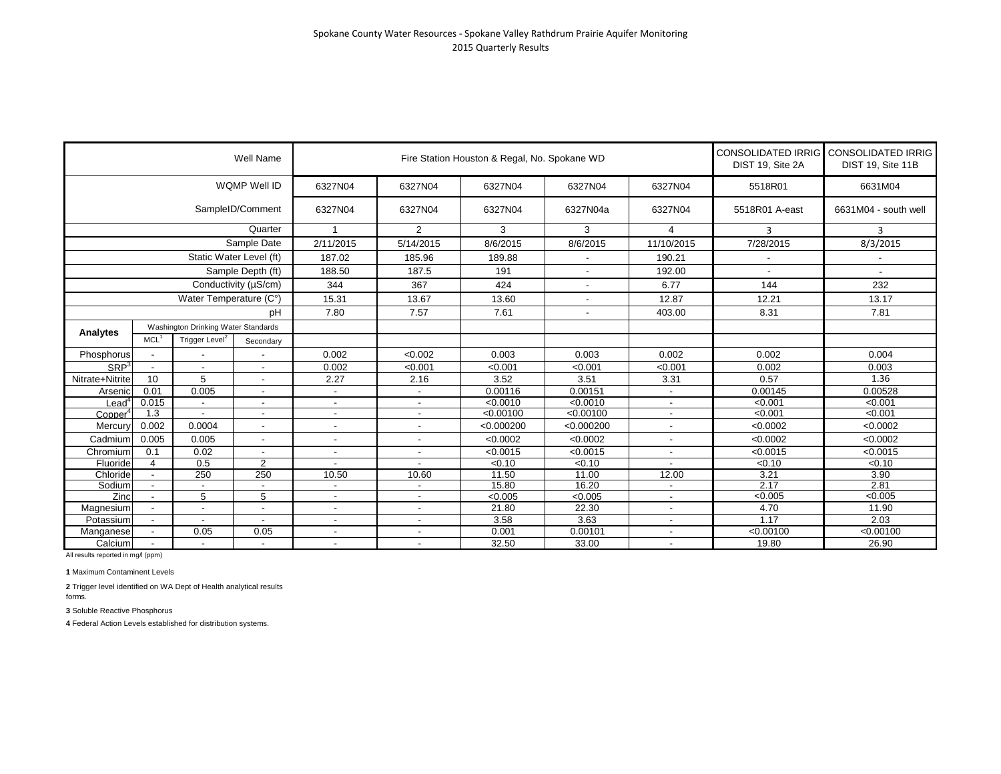|                  |                          |                            | Well Name                           |                          | Fire Station Houston & Regal, No. Spokane WD | DIST 19, Site 2A | CONSOLIDATED IRRIG CONSOLIDATED IRRIG<br>DIST 19, Site 11B |                          |                |                      |
|------------------|--------------------------|----------------------------|-------------------------------------|--------------------------|----------------------------------------------|------------------|------------------------------------------------------------|--------------------------|----------------|----------------------|
|                  |                          |                            | WQMP Well ID                        | 6327N04                  | 6327N04                                      | 6327N04          | 6327N04                                                    | 6327N04                  | 5518R01        | 6631M04              |
|                  |                          |                            | SampleID/Comment                    | 6327N04                  | 6327N04                                      | 6327N04          | 6327N04a                                                   | 6327N04                  | 5518R01 A-east | 6631M04 - south well |
|                  |                          |                            | Quarter                             | 1                        | $\overline{2}$                               | 3                | 3                                                          | 4                        | 3              | 3                    |
|                  |                          |                            | Sample Date                         | 2/11/2015                | 5/14/2015                                    | 8/6/2015         | 8/6/2015                                                   | 11/10/2015               | 7/28/2015      | 8/3/2015             |
|                  |                          |                            | Static Water Level (ft)             | 187.02                   | 185.96                                       | 189.88           | $\overline{\phantom{a}}$                                   | 190.21                   |                |                      |
|                  |                          |                            | Sample Depth (ft)                   | 188.50                   | 187.5                                        | 191              | $\blacksquare$                                             | 192.00                   |                |                      |
|                  |                          |                            | Conductivity (µS/cm)                | 344                      | 367                                          | 424              | $\overline{\phantom{a}}$                                   | 6.77                     | 144            | 232                  |
|                  |                          | Water Temperature (C°)     |                                     | 15.31                    | 13.67                                        | 13.60            |                                                            | 12.87                    | 12.21          | 13.17                |
|                  |                          |                            | pH                                  | 7.80                     | 7.57                                         | 7.61             | $\overline{\phantom{a}}$                                   | 403.00                   | 8.31           | 7.81                 |
|                  |                          |                            | Washington Drinking Water Standards |                          |                                              |                  |                                                            |                          |                |                      |
| Analytes         | MCL <sup>1</sup>         | Trigger Level <sup>2</sup> | Secondary                           |                          |                                              |                  |                                                            |                          |                |                      |
| Phosphorus       | $\blacksquare$           |                            |                                     | 0.002                    | <0.002                                       | 0.003            | 0.003                                                      | 0.002                    | 0.002          | 0.004                |
| SRP <sup>3</sup> | $\overline{\phantom{a}}$ | $\overline{\phantom{a}}$   | $\overline{\phantom{a}}$            | 0.002                    | < 0.001                                      | < 0.001          | < 0.001                                                    | < 0.001                  | 0.002          | 0.003                |
| Nitrate+Nitrite  | 10                       | 5                          | $\sim$                              | 2.27                     | 2.16                                         | 3.52             | 3.51                                                       | 3.31                     | 0.57           | 1.36                 |
| Arsenic          | 0.01                     | 0.005                      |                                     |                          |                                              | 0.00116          | 0.00151                                                    |                          | 0.00145        | 0.00528              |
| Lead             | 0.015                    |                            |                                     |                          | $\overline{\phantom{a}}$                     | < 0.0010         | $\sqrt{0.0010}$                                            |                          | < 0.001        | < 0.001              |
| Copper           | 1.3                      |                            |                                     | $\sim$                   | $\overline{\phantom{a}}$                     | < 0.00100        | < 0.00100                                                  | $\overline{\phantom{a}}$ | < 0.001        | < 0.001              |
| Mercury          | 0.002                    | 0.0004                     |                                     |                          | $\overline{\phantom{a}}$                     | < 0.000200       | < 0.000200                                                 |                          | < 0.0002       | < 0.0002             |
| Cadmium          | 0.005                    | 0.005                      | $\sim$                              |                          | $\overline{\phantom{a}}$                     | < 0.0002         | < 0.0002                                                   | ٠                        | < 0.0002       | < 0.0002             |
| Chromium         | 0.1                      | 0.02                       | $\overline{\phantom{0}}$            | $\blacksquare$           | $\blacksquare$                               | < 0.0015         | < 0.0015                                                   | $\blacksquare$           | < 0.0015       | < 0.0015             |
| Fluoride         | 4                        | 0.5                        | $\overline{2}$                      |                          |                                              | < 0.10           | < 0.10                                                     |                          | < 0.10         | < 0.10               |
| Chloride         | $\overline{\phantom{a}}$ | 250                        | 250                                 | 10.50                    | 10.60                                        | 11.50            | 11.00                                                      | 12.00                    | 3.21           | 3.90                 |
| Sodium           |                          |                            |                                     |                          |                                              | 15.80            | 16.20                                                      |                          | 2.17           | 2.81                 |
| Zinc             |                          | 5                          | 5                                   |                          |                                              | < 0.005          | < 0.005                                                    |                          | < 0.005        | < 0.005              |
| Magnesium        |                          | $\blacksquare$             |                                     |                          | $\overline{\phantom{a}}$                     | 21.80            | 22.30                                                      |                          | 4.70           | 11.90                |
| Potassium        |                          |                            |                                     | $\overline{\phantom{a}}$ | $\overline{\phantom{a}}$                     | 3.58             | 3.63                                                       | $\blacksquare$           | 1.17           | 2.03                 |
| Manganese        |                          | 0.05                       | 0.05                                |                          | $\overline{\phantom{a}}$                     | 0.001            | 0.00101                                                    | $\overline{\phantom{a}}$ | < 0.00100      | < 0.00100            |
| Calcium          | $\overline{\phantom{a}}$ | $\overline{\phantom{a}}$   | $\sim$                              | $\blacksquare$           | $\overline{\phantom{a}}$                     | 32.50            | 33.00                                                      | $\sim$                   | 19.80          | 26.90                |

**1** Maximum Contaminent Levels

**2** Trigger level identified on WA Dept of Health analytical results forms.

**3** Soluble Reactive Phosphorus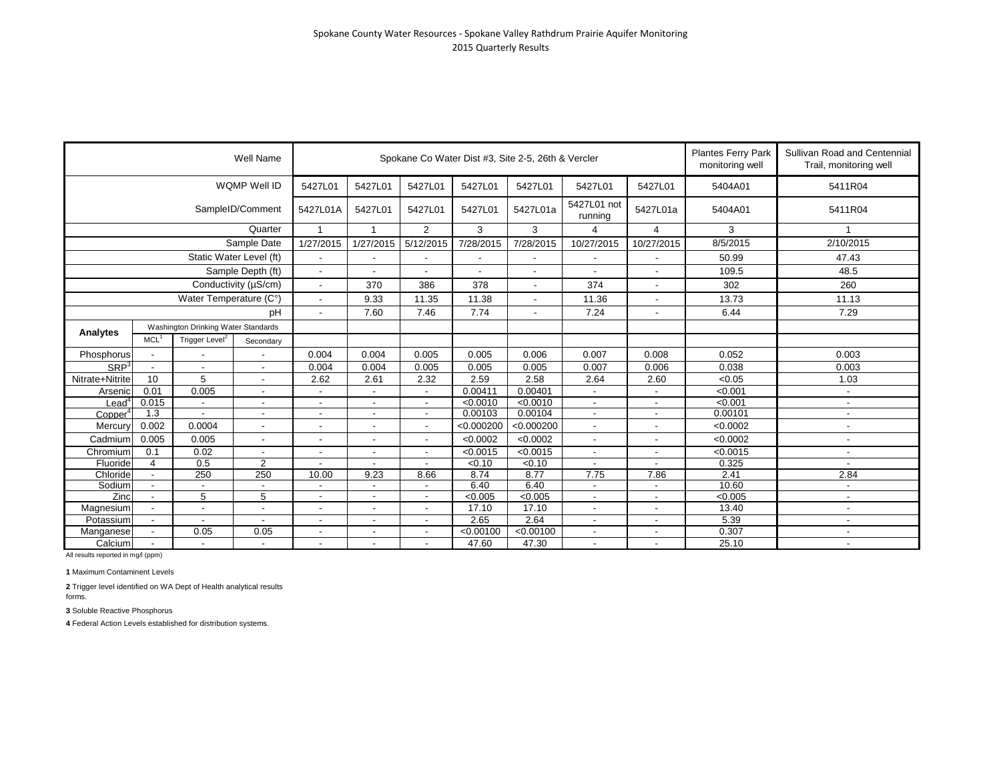|                  |                                                    | Well Name                           |                          |                          |                          | Spokane Co Water Dist #3, Site 2-5, 26th & Vercler | <b>Plantes Ferry Park</b><br>Sullivan Road and Centennial<br>monitoring well<br>Trail, monitoring well |                          |                          |                |                          |                          |
|------------------|----------------------------------------------------|-------------------------------------|--------------------------|--------------------------|--------------------------|----------------------------------------------------|--------------------------------------------------------------------------------------------------------|--------------------------|--------------------------|----------------|--------------------------|--------------------------|
|                  |                                                    |                                     | WQMP Well ID             | 5427L01                  | 5427L01                  | 5427L01                                            | 5427L01                                                                                                | 5427L01                  | 5427L01                  | 5427L01        | 5404A01                  | 5411R04                  |
|                  |                                                    |                                     | SampleID/Comment         | 5427L01A                 | 5427L01                  | 5427L01                                            | 5427L01                                                                                                | 5427L01a                 | 5427L01 not<br>running   | 5427L01a       | 5404A01                  | 5411R04                  |
|                  |                                                    |                                     | Quarter                  | $\mathbf{1}$             | 1                        | 2                                                  | 3                                                                                                      | 3                        | 4                        | 4              | 3                        |                          |
|                  |                                                    |                                     | Sample Date              | 1/27/2015                | 1/27/2015                | 5/12/2015                                          | 7/28/2015                                                                                              | 7/28/2015                | 10/27/2015               | 10/27/2015     | 8/5/2015                 | 2/10/2015                |
|                  |                                                    |                                     | Static Water Level (ft)  | $\blacksquare$           | $\overline{\phantom{a}}$ |                                                    | $\blacksquare$                                                                                         | $\overline{\phantom{a}}$ | $\blacksquare$           |                | 50.99                    | 47.43                    |
|                  |                                                    |                                     | Sample Depth (ft)        | $\blacksquare$           | $\overline{\phantom{a}}$ |                                                    | $\overline{\phantom{a}}$                                                                               | $\overline{\phantom{a}}$ |                          |                | 109.5                    | 48.5                     |
|                  |                                                    |                                     | Conductivity (µS/cm)     | $\blacksquare$           | 370                      | 386                                                | 378                                                                                                    | $\overline{\phantom{a}}$ | 374                      |                | 302                      | 260                      |
|                  |                                                    | Water Temperature (C°)              |                          | $\overline{a}$           | 9.33                     | 11.35                                              | 11.38                                                                                                  |                          | 11.36                    |                | 13.73                    | 11.13                    |
| pH               |                                                    |                                     |                          | $\blacksquare$           | 7.60                     | 7.46                                               | 7.74                                                                                                   | $\overline{\phantom{a}}$ | 7.24                     | $\blacksquare$ | 6.44                     | 7.29                     |
|                  |                                                    | Washington Drinking Water Standards |                          |                          |                          |                                                    |                                                                                                        |                          |                          |                |                          |                          |
| Analytes         | MCL <sup>1</sup>                                   | Trigger Level <sup>2</sup>          | Secondary                |                          |                          |                                                    |                                                                                                        |                          |                          |                |                          |                          |
| Phosphorus       |                                                    |                                     |                          | 0.004                    | 0.004                    | 0.005                                              | 0.005                                                                                                  | 0.006                    | 0.007                    | 0.008          | 0.052                    | 0.003                    |
| SRP <sup>3</sup> | $\overline{\phantom{a}}$                           | $\blacksquare$                      | $\blacksquare$           | 0.004                    | 0.004                    | 0.005                                              | 0.005                                                                                                  | 0.005                    | 0.007                    | 0.006          | 0.038                    | 0.003                    |
| Nitrate+Nitrite  | 10                                                 | 5                                   | $\overline{\phantom{a}}$ | 2.62                     | 2.61                     | 2.32                                               | 2.59                                                                                                   | 2.58                     | 2.64                     | 2.60           | < 0.05                   | 1.03                     |
| Arsenic          | 0.01                                               | 0.005                               | $\overline{\phantom{0}}$ |                          |                          | $\blacksquare$                                     | 0.00411                                                                                                | 0.00401                  | $\frac{1}{2}$            |                | < 0.001                  | $\overline{\phantom{a}}$ |
| Lead"            | 0.015                                              |                                     | -                        | $\overline{\phantom{a}}$ |                          | $\overline{a}$                                     | < 0.0010                                                                                               | $\sqrt{0.0010}$          | $\blacksquare$           |                | < 0.001                  | $\overline{\phantom{a}}$ |
| Copper           | 1.3                                                | $\overline{a}$                      | $\overline{\phantom{0}}$ | $\overline{\phantom{a}}$ | $\blacksquare$           | $\overline{a}$                                     | 0.00103                                                                                                | 0.00104                  | $\sim$                   |                | 0.00101                  | $\blacksquare$           |
| Mercury          | 0.002                                              | 0.0004                              | $\blacksquare$           | $\overline{\phantom{a}}$ |                          | $\overline{\phantom{a}}$                           | < 0.000200                                                                                             | < 0.000200               | $\overline{\phantom{a}}$ |                | < 0.0002                 | $\blacksquare$           |
| Cadmium          | 0.005                                              | 0.005                               | $\overline{\phantom{a}}$ | $\overline{\phantom{a}}$ |                          |                                                    | < 0.0002                                                                                               | < 0.0002                 | $\blacksquare$           |                | < 0.0002                 |                          |
| Chromium         | 0.1                                                | 0.02                                | $\blacksquare$           | $\blacksquare$           | $\overline{\phantom{a}}$ | $\blacksquare$                                     | < 0.0015                                                                                               | < 0.0015                 | $\blacksquare$           |                | < 0.0015                 | $\blacksquare$           |
| Fluoride         | 4                                                  | 0.5                                 | $\overline{2}$           |                          |                          |                                                    | < 0.10                                                                                                 | < 0.10                   | $\overline{\phantom{a}}$ |                | 0.325                    | $\overline{\phantom{a}}$ |
| Chloride         | $\blacksquare$                                     | 250                                 | 250                      |                          | 9.23                     | 8.66                                               | 8.74                                                                                                   | 8.77                     | 7.75                     | 7.86           | 2.41                     | 2.84                     |
| Sodium           | $\blacksquare$                                     |                                     | $\blacksquare$           | $\blacksquare$           |                          |                                                    | 6.40                                                                                                   | 6.40                     | $\overline{\phantom{a}}$ |                | 10.60                    | $\overline{\phantom{a}}$ |
| Zinc             | 5<br>5<br>$\overline{a}$                           |                                     | $\blacksquare$           |                          | $\overline{\phantom{a}}$ | < 0.005                                            | < 0.005                                                                                                | ٠                        |                          | < 0.005        | $\blacksquare$           |                          |
| Magnesium        | $\blacksquare$<br>$\overline{\phantom{a}}$         |                                     | $\overline{\phantom{a}}$ |                          |                          | 17.10                                              | 17.10                                                                                                  | ٠                        |                          | 13.40          | $\overline{\phantom{a}}$ |                          |
| Potassium        |                                                    |                                     | $\blacksquare$           | $\overline{\phantom{a}}$ |                          |                                                    | 2.65                                                                                                   | 2.64                     | ٠                        |                | 5.39                     | $\overline{\phantom{a}}$ |
| Manganese        | 0.05<br>0.05                                       |                                     |                          | $\overline{\phantom{a}}$ |                          |                                                    | < 0.00100                                                                                              | < 0.00100                |                          |                | 0.307                    |                          |
| Calcium          | $\blacksquare$<br>$\blacksquare$<br>$\blacksquare$ |                                     | $\sim$                   | $\overline{\phantom{a}}$ |                          | 47.60                                              | 47.30                                                                                                  | $\overline{\phantom{a}}$ |                          | 25.10          | $\overline{\phantom{a}}$ |                          |

**1** Maximum Contaminent Levels

**2** Trigger level identified on WA Dept of Health analytical results forms.

**3** Soluble Reactive Phosphorus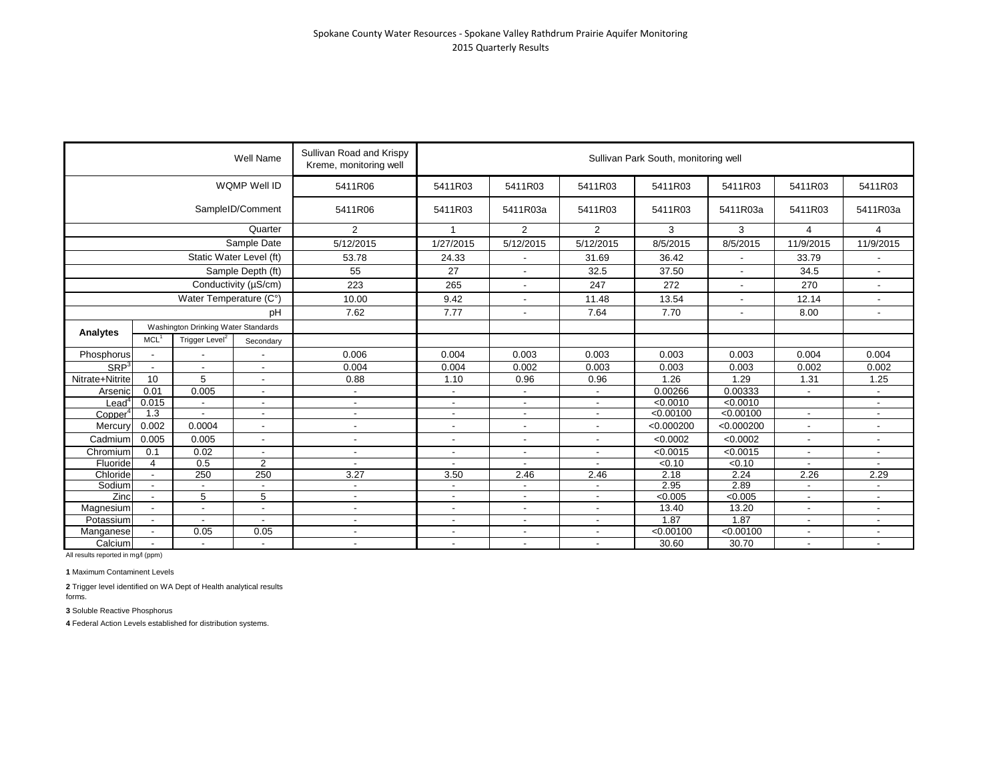|                      |                          |                                     | Well Name                | Sullivan Road and Krispy<br>Kreme, monitoring well |                          |                          |                          | Sullivan Park South, monitoring well |                          |                          |                          |
|----------------------|--------------------------|-------------------------------------|--------------------------|----------------------------------------------------|--------------------------|--------------------------|--------------------------|--------------------------------------|--------------------------|--------------------------|--------------------------|
|                      |                          |                                     | WQMP Well ID             | 5411R06                                            | 5411R03                  | 5411R03                  | 5411R03                  | 5411R03                              | 5411R03                  | 5411R03                  | 5411R03                  |
|                      |                          |                                     | SampleID/Comment         | 5411R06                                            | 5411R03                  | 5411R03a                 | 5411R03                  | 5411R03                              | 5411R03a                 | 5411R03                  | 5411R03a                 |
|                      |                          |                                     | Quarter                  | 2                                                  | 1                        | 2                        | $\overline{2}$           | 3                                    | 3                        | $\overline{4}$           | 4                        |
|                      |                          |                                     | Sample Date              | 5/12/2015                                          | 1/27/2015                | 5/12/2015                | 5/12/2015                | 8/5/2015                             | 8/5/2015                 | 11/9/2015                | 11/9/2015                |
|                      |                          |                                     | Static Water Level (ft)  | 53.78                                              | 24.33                    | $\overline{\phantom{a}}$ | 31.69                    | 36.42                                | $\overline{\phantom{a}}$ | 33.79                    |                          |
|                      |                          |                                     | Sample Depth (ft)        | 55                                                 | 27                       | $\overline{\phantom{a}}$ | 32.5                     | 37.50                                | $\overline{\phantom{a}}$ | 34.5                     |                          |
|                      |                          |                                     | Conductivity (µS/cm)     | 223                                                | 265                      | $\blacksquare$           | 247                      | 272                                  | $\blacksquare$           | 270                      | $\sim$                   |
|                      |                          | Water Temperature (C°)              |                          | 10.00                                              | 9.42                     | $\overline{a}$           | 11.48                    | 13.54                                |                          | 12.14                    |                          |
|                      |                          |                                     | рH                       | 7.62                                               | 7.77                     | $\overline{\phantom{a}}$ | 7.64                     | 7.70                                 | $\blacksquare$           | 8.00                     | $\overline{\phantom{a}}$ |
|                      |                          | Washington Drinking Water Standards |                          |                                                    |                          |                          |                          |                                      |                          |                          |                          |
| Analytes             | MCL <sup>1</sup>         | Trigger Level <sup>2</sup>          | Secondary                |                                                    |                          |                          |                          |                                      |                          |                          |                          |
| Phosphorus           |                          |                                     |                          | 0.006                                              | 0.004                    | 0.003                    | 0.003                    | 0.003                                | 0.003                    | 0.004                    | 0.004                    |
| SRP <sup>3</sup>     | $\sim$                   | $\blacksquare$                      | $\overline{\phantom{a}}$ | 0.004                                              | 0.004                    | 0.002                    | 0.003                    | 0.003                                | 0.003                    | 0.002                    | 0.002                    |
| Nitrate+Nitrite      | 10                       | 5                                   | $\overline{\phantom{a}}$ | 0.88                                               | 1.10                     | 0.96                     | 0.96                     | 1.26                                 | 1.29                     | 1.31                     | 1.25                     |
| Arsenic              | 0.01                     | 0.005                               |                          | $\blacksquare$                                     | $\overline{\phantom{a}}$ |                          | $\blacksquare$           | 0.00266                              | 0.00333                  |                          |                          |
| $\sf {lead}^{\sf c}$ | 0.015                    |                                     | $\overline{\phantom{a}}$ | $\blacksquare$                                     | $\overline{\phantom{a}}$ | $\overline{\phantom{a}}$ | $\blacksquare$           | < 0.0010                             | < 0.0010                 |                          | $\overline{\phantom{a}}$ |
| Copper <sup>4</sup>  | 1.3                      |                                     | $\overline{\phantom{a}}$ | $\blacksquare$                                     | $\blacksquare$           | $\blacksquare$           | $\overline{\phantom{a}}$ | < 0.00100                            | < 0.00100                |                          |                          |
| Mercury              | 0.002                    | 0.0004                              | $\overline{\phantom{a}}$ | $\blacksquare$                                     | $\frac{1}{2}$            | $\overline{a}$           | $\overline{\phantom{a}}$ | < 0.000200                           | < 0.000200               |                          |                          |
| Cadmium              | 0.005                    | 0.005                               | $\overline{\phantom{a}}$ | $\blacksquare$                                     | $\blacksquare$           | $\overline{a}$           | $\overline{a}$           | < 0.0002                             | < 0.0002                 | $\blacksquare$           |                          |
| Chromium             | 0.1                      | 0.02                                |                          | $\blacksquare$                                     | $\overline{\phantom{a}}$ | $\blacksquare$           | $\overline{\phantom{a}}$ | < 0.0015                             | < 0.0015                 |                          |                          |
| Fluoride             | 4                        | 0.5                                 | $\overline{2}$           | $\overline{\phantom{a}}$                           | $\overline{\phantom{a}}$ |                          |                          | < 0.10                               | $\sqrt{6.10}$            |                          |                          |
| Chloride             | $\overline{\phantom{a}}$ | 250                                 | 250                      | 3.27                                               | 3.50                     | 2.46                     | 2.46                     | 2.18                                 | 2.24                     | 2.26                     | 2.29                     |
| Sodium               | $\overline{a}$           |                                     | $\sim$                   | $\blacksquare$                                     | $\overline{\phantom{a}}$ | $\blacksquare$           | $\blacksquare$           | 2.95                                 | 2.89                     |                          |                          |
| Zinc                 | $\blacksquare$           | 5                                   | 5                        | $\blacksquare$                                     | $\overline{\phantom{a}}$ | $\overline{\phantom{a}}$ | $\overline{\phantom{a}}$ | < 0.005                              | < 0.005                  | $\overline{\phantom{a}}$ | $\overline{\phantom{a}}$ |
| Magnesium            |                          |                                     |                          | ٠                                                  | $\overline{a}$           |                          |                          | 13.40                                | 13.20                    |                          |                          |
| Potassium            | $\blacksquare$           | $\blacksquare$                      |                          | $\blacksquare$                                     | $\overline{\phantom{a}}$ | $\blacksquare$           | $\blacksquare$           | 1.87                                 | 1.87                     | $\overline{\phantom{a}}$ | $\overline{\phantom{a}}$ |
| Manganese            | $\blacksquare$           | 0.05                                | 0.05                     | $\blacksquare$                                     | $\overline{\phantom{a}}$ | $\overline{\phantom{a}}$ | $\overline{\phantom{a}}$ | < 0.00100                            | < 0.00100                | $\overline{\phantom{a}}$ | $\overline{\phantom{a}}$ |
| Calcium              | $\overline{a}$           | $\overline{a}$                      | $\overline{\phantom{a}}$ | $\blacksquare$                                     | $\overline{\phantom{a}}$ | $\blacksquare$           | $\overline{\phantom{a}}$ | 30.60                                | 30.70                    | $\overline{\phantom{a}}$ | $\overline{\phantom{a}}$ |

**1** Maximum Contaminent Levels

**2** Trigger level identified on WA Dept of Health analytical results forms.

**3** Soluble Reactive Phosphorus